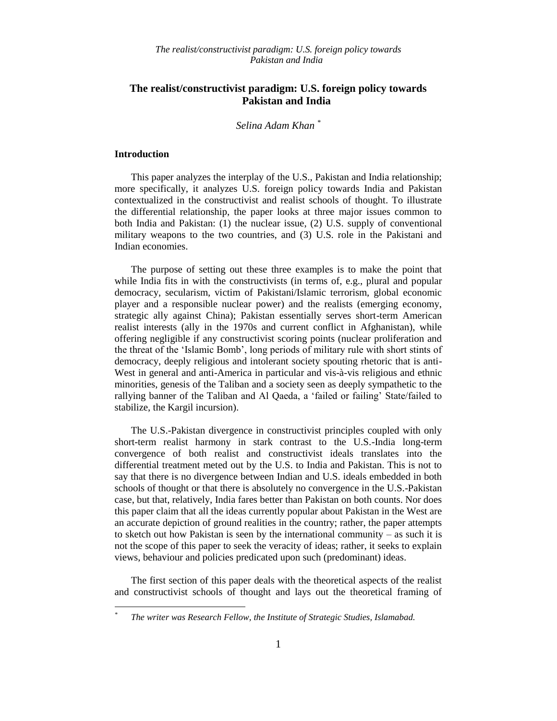*Selina Adam Khan \**

#### **Introduction**

 $\overline{a}$ *\**

This paper analyzes the interplay of the U.S., Pakistan and India relationship; more specifically, it analyzes U.S. foreign policy towards India and Pakistan contextualized in the constructivist and realist schools of thought. To illustrate the differential relationship, the paper looks at three major issues common to both India and Pakistan: (1) the nuclear issue, (2) U.S. supply of conventional military weapons to the two countries, and (3) U.S. role in the Pakistani and Indian economies.

The purpose of setting out these three examples is to make the point that while India fits in with the constructivists (in terms of, e.g., plural and popular democracy, secularism, victim of Pakistani/Islamic terrorism, global economic player and a responsible nuclear power) and the realists (emerging economy, strategic ally against China); Pakistan essentially serves short-term American realist interests (ally in the 1970s and current conflict in Afghanistan), while offering negligible if any constructivist scoring points (nuclear proliferation and the threat of the "Islamic Bomb", long periods of military rule with short stints of democracy, deeply religious and intolerant society spouting rhetoric that is anti-West in general and anti-America in particular and vis-à-vis religious and ethnic minorities, genesis of the Taliban and a society seen as deeply sympathetic to the rallying banner of the Taliban and Al Qaeda, a "failed or failing" State/failed to stabilize, the Kargil incursion).

The U.S.-Pakistan divergence in constructivist principles coupled with only short-term realist harmony in stark contrast to the U.S.-India long-term convergence of both realist and constructivist ideals translates into the differential treatment meted out by the U.S. to India and Pakistan. This is not to say that there is no divergence between Indian and U.S. ideals embedded in both schools of thought or that there is absolutely no convergence in the U.S.-Pakistan case, but that, relatively, India fares better than Pakistan on both counts. Nor does this paper claim that all the ideas currently popular about Pakistan in the West are an accurate depiction of ground realities in the country; rather, the paper attempts to sketch out how Pakistan is seen by the international community – as such it is not the scope of this paper to seek the veracity of ideas; rather, it seeks to explain views, behaviour and policies predicated upon such (predominant) ideas.

The first section of this paper deals with the theoretical aspects of the realist and constructivist schools of thought and lays out the theoretical framing of

*The writer was Research Fellow, the Institute of Strategic Studies, Islamabad.*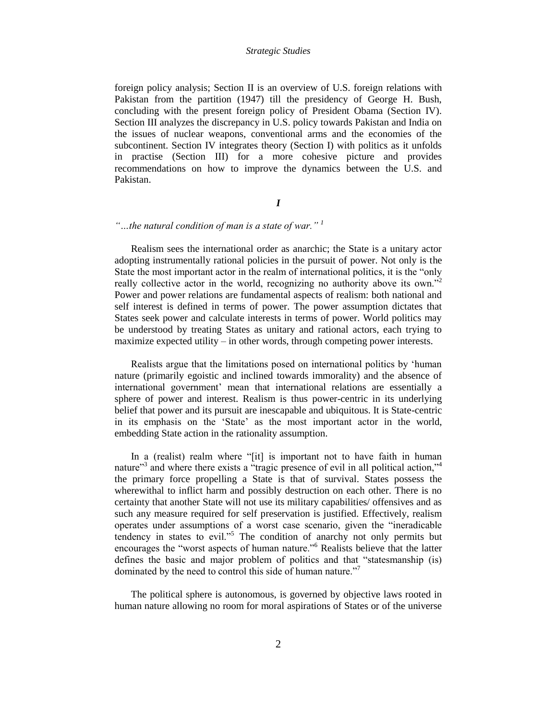foreign policy analysis; Section II is an overview of U.S. foreign relations with Pakistan from the partition (1947) till the presidency of George H. Bush, concluding with the present foreign policy of President Obama (Section IV). Section III analyzes the discrepancy in U.S. policy towards Pakistan and India on the issues of nuclear weapons, conventional arms and the economies of the subcontinent. Section IV integrates theory (Section I) with politics as it unfolds in practise (Section III) for a more cohesive picture and provides recommendations on how to improve the dynamics between the U.S. and Pakistan.

# *I*

# *"…the natural condition of man is a state of war." <sup>1</sup>*

Realism sees the international order as anarchic; the State is a unitary actor adopting instrumentally rational policies in the pursuit of power. Not only is the State the most important actor in the realm of international politics, it is the "only really collective actor in the world, recognizing no authority above its own."<sup>2</sup> Power and power relations are fundamental aspects of realism: both national and self interest is defined in terms of power. The power assumption dictates that States seek power and calculate interests in terms of power. World politics may be understood by treating States as unitary and rational actors, each trying to maximize expected utility – in other words, through competing power interests.

Realists argue that the limitations posed on international politics by "human nature (primarily egoistic and inclined towards immorality) and the absence of international government" mean that international relations are essentially a sphere of power and interest. Realism is thus power-centric in its underlying belief that power and its pursuit are inescapable and ubiquitous. It is State-centric in its emphasis on the "State" as the most important actor in the world, embedding State action in the rationality assumption.

In a (realist) realm where "[it] is important not to have faith in human nature"<sup>3</sup> and where there exists a "tragic presence of evil in all political action,"<sup>4</sup> the primary force propelling a State is that of survival. States possess the wherewithal to inflict harm and possibly destruction on each other. There is no certainty that another State will not use its military capabilities/ offensives and as such any measure required for self preservation is justified. Effectively, realism operates under assumptions of a worst case scenario, given the "ineradicable tendency in states to evil."<sup>5</sup> The condition of anarchy not only permits but encourages the "worst aspects of human nature."<sup>6</sup> Realists believe that the latter defines the basic and major problem of politics and that "statesmanship (is) dominated by the need to control this side of human nature."<sup>7</sup>

The political sphere is autonomous, is governed by objective laws rooted in human nature allowing no room for moral aspirations of States or of the universe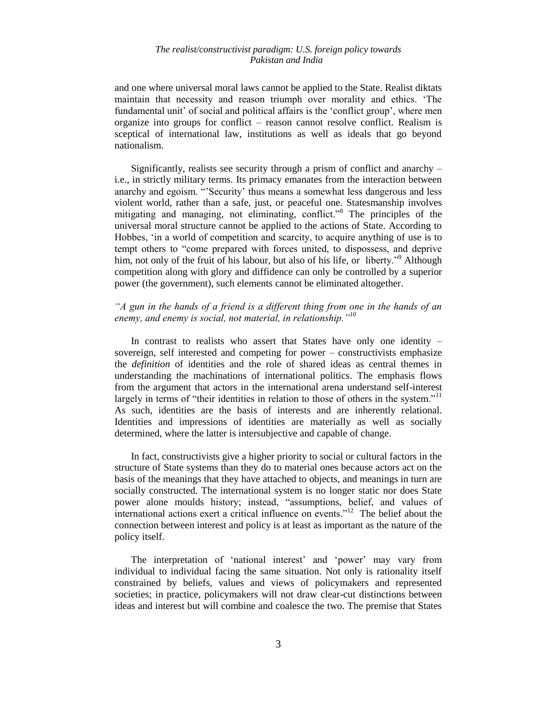and one where universal moral laws cannot be applied to the State. Realist diktats maintain that necessity and reason triumph over morality and ethics. "The fundamental unit" of social and political affairs is the "conflict group", where men organize into groups for conflict – reason cannot resolve conflict. Realism is sceptical of international law, institutions as well as ideals that go beyond nationalism.

Significantly, realists see security through a prism of conflict and anarchy – i.e., in strictly military terms. Its primacy emanates from the interaction between anarchy and egoism. ""Security" thus means a somewhat less dangerous and less violent world, rather than a safe, just, or peaceful one. Statesmanship involves mitigating and managing, not eliminating, conflict."<sup>8</sup> The principles of the universal moral structure cannot be applied to the actions of State. According to Hobbes, "in a world of competition and scarcity, to acquire anything of use is to tempt others to "come prepared with forces united, to dispossess, and deprive him, not only of the fruit of his labour, but also of his life, or liberty."<sup>9</sup> Although competition along with glory and diffidence can only be controlled by a superior power (the government), such elements cannot be eliminated altogether.

# *"A gun in the hands of a friend is a different thing from one in the hands of an enemy, and enemy is social, not material, in relationship."<sup>10</sup>*

In contrast to realists who assert that States have only one identity – sovereign, self interested and competing for power – constructivists emphasize the *definition* of identities and the role of shared ideas as central themes in understanding the machinations of international politics. The emphasis flows from the argument that actors in the international arena understand self-interest largely in terms of "their identities in relation to those of others in the system."<sup>11</sup> As such, identities are the basis of interests and are inherently relational. Identities and impressions of identities are materially as well as socially determined, where the latter is intersubjective and capable of change.

In fact, constructivists give a higher priority to social or cultural factors in the structure of State systems than they do to material ones because actors act on the basis of the meanings that they have attached to objects, and meanings in turn are socially constructed. The international system is no longer static nor does State power alone moulds history; instead, "assumptions, belief, and values of international actions exert a critical influence on events."<sup>12</sup> The belief about the connection between interest and policy is at least as important as the nature of the policy itself.

The interpretation of 'national interest' and 'power' may vary from individual to individual facing the same situation. Not only is rationality itself constrained by beliefs, values and views of policymakers and represented societies; in practice, policymakers will not draw clear-cut distinctions between ideas and interest but will combine and coalesce the two. The premise that States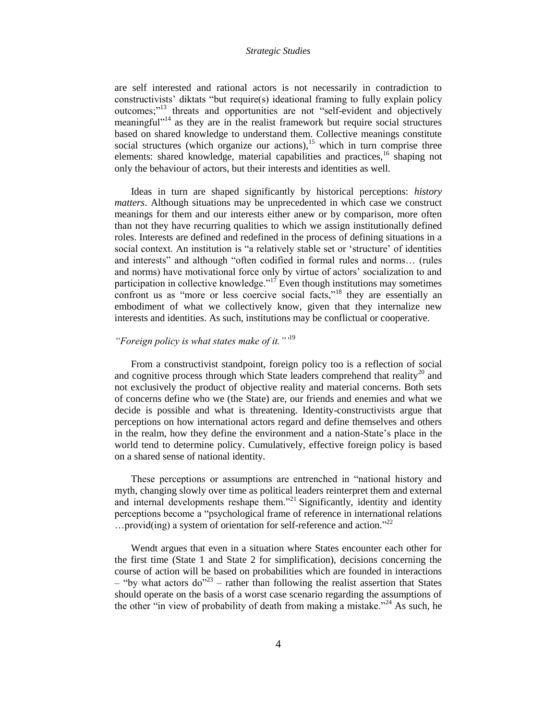are self interested and rational actors is not necessarily in contradiction to constructivists" diktats "but require(s) ideational framing to fully explain policy outcomes;"<sup>13</sup> threats and opportunities are not "self-evident and objectively meaningful $1^{1/14}$  as they are in the realist framework but require social structures based on shared knowledge to understand them. Collective meanings constitute social structures (which organize our actions),<sup>15</sup> which in turn comprise three elements: shared knowledge, material capabilities and practices,  $^{16}$  shaping not only the behaviour of actors, but their interests and identities as well.

Ideas in turn are shaped significantly by historical perceptions: *history matters*. Although situations may be unprecedented in which case we construct meanings for them and our interests either anew or by comparison, more often than not they have recurring qualities to which we assign institutionally defined roles. Interests are defined and redefined in the process of defining situations in a social context. An institution is "a relatively stable set or "structure" of identities and interests" and although "often codified in formal rules and norms… (rules and norms) have motivational force only by virtue of actors" socialization to and participation in collective knowledge."<sup>17</sup> Even though institutions may sometimes confront us as "more or less coercive social facts,"<sup>18</sup> they are essentially an embodiment of what we collectively know, given that they internalize new interests and identities. As such, institutions may be conflictual or cooperative.

# *"Foreign policy is what states make of it.""*<sup>19</sup>

From a constructivist standpoint, foreign policy too is a reflection of social and cognitive process through which State leaders comprehend that reality<sup>20</sup> and not exclusively the product of objective reality and material concerns. Both sets of concerns define who we (the State) are, our friends and enemies and what we decide is possible and what is threatening. Identity-constructivists argue that perceptions on how international actors regard and define themselves and others in the realm, how they define the environment and a nation-State"s place in the world tend to determine policy. Cumulatively, effective foreign policy is based on a shared sense of national identity.

These perceptions or assumptions are entrenched in "national history and myth, changing slowly over time as political leaders reinterpret them and external and internal developments reshape them."<sup>21</sup> Significantly, identity and identity perceptions become a "psychological frame of reference in international relations ...provid(ing) a system of orientation for self-reference and action."<sup>22</sup>

Wendt argues that even in a situation where States encounter each other for the first time (State 1 and State 2 for simplification), decisions concerning the course of action will be based on probabilities which are founded in interactions  $-$  "by what actors do"<sup>23</sup> – rather than following the realist assertion that States should operate on the basis of a worst case scenario regarding the assumptions of the other "in view of probability of death from making a mistake."<sup>24</sup> As such, he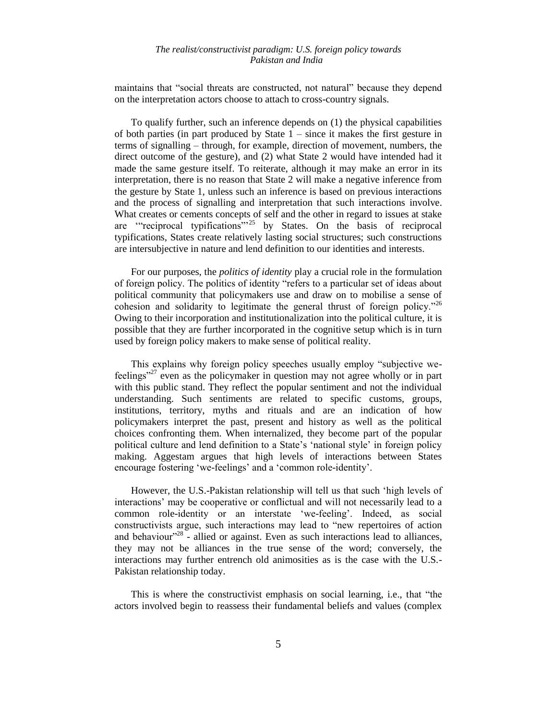maintains that "social threats are constructed, not natural" because they depend on the interpretation actors choose to attach to cross-country signals.

To qualify further, such an inference depends on (1) the physical capabilities of both parties (in part produced by State 1 – since it makes the first gesture in terms of signalling – through, for example, direction of movement, numbers, the direct outcome of the gesture), and (2) what State 2 would have intended had it made the same gesture itself. To reiterate, although it may make an error in its interpretation, there is no reason that State 2 will make a negative inference from the gesture by State 1, unless such an inference is based on previous interactions and the process of signalling and interpretation that such interactions involve. What creates or cements concepts of self and the other in regard to issues at stake are ""reciprocal typifications""<sup>25</sup> by States. On the basis of reciprocal typifications, States create relatively lasting social structures; such constructions are intersubjective in nature and lend definition to our identities and interests.

For our purposes, the *politics of identity* play a crucial role in the formulation of foreign policy. The politics of identity "refers to a particular set of ideas about political community that policymakers use and draw on to mobilise a sense of cohesion and solidarity to legitimate the general thrust of foreign policy.<sup> $26$ </sup> Owing to their incorporation and institutionalization into the political culture, it is possible that they are further incorporated in the cognitive setup which is in turn used by foreign policy makers to make sense of political reality.

This explains why foreign policy speeches usually employ "subjective wefeelings"<sup>27</sup> even as the policymaker in question may not agree wholly or in part with this public stand. They reflect the popular sentiment and not the individual understanding. Such sentiments are related to specific customs, groups, institutions, territory, myths and rituals and are an indication of how policymakers interpret the past, present and history as well as the political choices confronting them. When internalized, they become part of the popular political culture and lend definition to a State"s "national style" in foreign policy making. Aggestam argues that high levels of interactions between States encourage fostering 'we-feelings' and a 'common role-identity'.

However, the U.S.-Pakistan relationship will tell us that such "high levels of interactions" may be cooperative or conflictual and will not necessarily lead to a common role-identity or an interstate 'we-feeling'. Indeed, as social constructivists argue, such interactions may lead to "new repertoires of action and behaviour<sup>"28</sup> - allied or against. Even as such interactions lead to alliances, they may not be alliances in the true sense of the word; conversely, the interactions may further entrench old animosities as is the case with the U.S.- Pakistan relationship today.

This is where the constructivist emphasis on social learning, i.e., that "the actors involved begin to reassess their fundamental beliefs and values (complex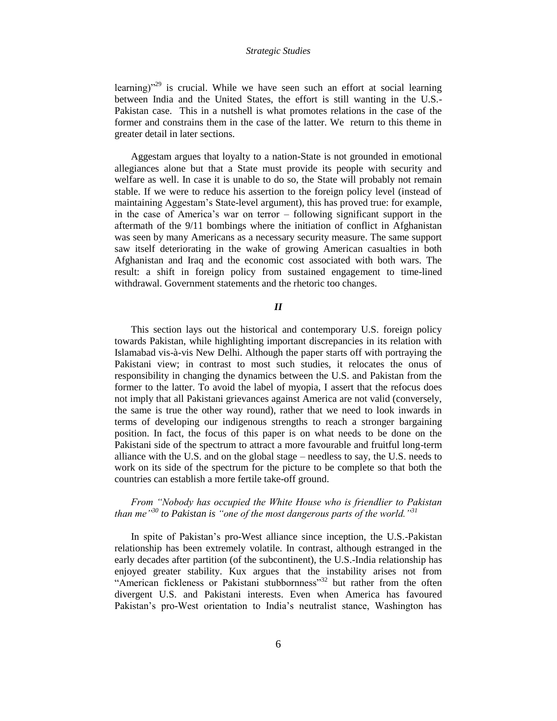learning) $v^{29}$  is crucial. While we have seen such an effort at social learning between India and the United States, the effort is still wanting in the U.S.- Pakistan case. This in a nutshell is what promotes relations in the case of the former and constrains them in the case of the latter. We return to this theme in greater detail in later sections.

Aggestam argues that loyalty to a nation-State is not grounded in emotional allegiances alone but that a State must provide its people with security and welfare as well. In case it is unable to do so, the State will probably not remain stable. If we were to reduce his assertion to the foreign policy level (instead of maintaining Aggestam"s State-level argument), this has proved true: for example, in the case of America"s war on terror – following significant support in the aftermath of the 9/11 bombings where the initiation of conflict in Afghanistan was seen by many Americans as a necessary security measure. The same support saw itself deteriorating in the wake of growing American casualties in both Afghanistan and Iraq and the economic cost associated with both wars. The result: a shift in foreign policy from sustained engagement to time-lined withdrawal. Government statements and the rhetoric too changes.

# *II*

This section lays out the historical and contemporary U.S. foreign policy towards Pakistan, while highlighting important discrepancies in its relation with Islamabad vis-à-vis New Delhi. Although the paper starts off with portraying the Pakistani view; in contrast to most such studies, it relocates the onus of responsibility in changing the dynamics between the U.S. and Pakistan from the former to the latter. To avoid the label of myopia, I assert that the refocus does not imply that all Pakistani grievances against America are not valid (conversely, the same is true the other way round), rather that we need to look inwards in terms of developing our indigenous strengths to reach a stronger bargaining position. In fact, the focus of this paper is on what needs to be done on the Pakistani side of the spectrum to attract a more favourable and fruitful long-term alliance with the U.S. and on the global stage – needless to say, the U.S. needs to work on its side of the spectrum for the picture to be complete so that both the countries can establish a more fertile take-off ground.

# *From "Nobody has occupied the White House who is friendlier to Pakistan than me"<sup>30</sup> to Pakistan is "one of the most dangerous parts of the world."<sup>31</sup>*

In spite of Pakistan"s pro-West alliance since inception, the U.S.-Pakistan relationship has been extremely volatile. In contrast, although estranged in the early decades after partition (of the subcontinent), the U.S.-India relationship has enjoyed greater stability. Kux argues that the instability arises not from "American fickleness or Pakistani stubbornness"<sup>32</sup> but rather from the often divergent U.S. and Pakistani interests. Even when America has favoured Pakistan's pro-West orientation to India's neutralist stance, Washington has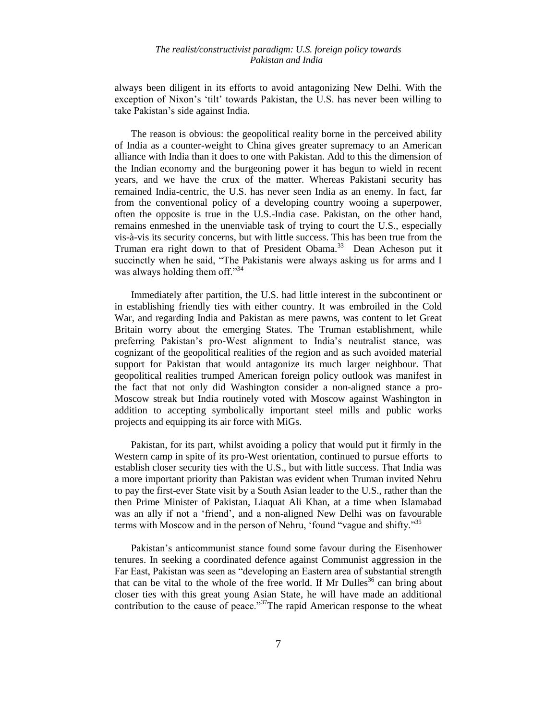always been diligent in its efforts to avoid antagonizing New Delhi. With the exception of Nixon's 'tilt' towards Pakistan, the U.S. has never been willing to take Pakistan"s side against India.

The reason is obvious: the geopolitical reality borne in the perceived ability of India as a counter-weight to China gives greater supremacy to an American alliance with India than it does to one with Pakistan. Add to this the dimension of the Indian economy and the burgeoning power it has begun to wield in recent years, and we have the crux of the matter. Whereas Pakistani security has remained India-centric, the U.S. has never seen India as an enemy. In fact, far from the conventional policy of a developing country wooing a superpower, often the opposite is true in the U.S.-India case. Pakistan, on the other hand, remains enmeshed in the unenviable task of trying to court the U.S., especially vis-à-vis its security concerns, but with little success. This has been true from the Truman era right down to that of President Obama.<sup>33</sup> Dean Acheson put it succinctly when he said, "The Pakistanis were always asking us for arms and I was always holding them off." $34$ 

Immediately after partition, the U.S. had little interest in the subcontinent or in establishing friendly ties with either country. It was embroiled in the Cold War, and regarding India and Pakistan as mere pawns, was content to let Great Britain worry about the emerging States. The Truman establishment, while preferring Pakistan"s pro-West alignment to India"s neutralist stance, was cognizant of the geopolitical realities of the region and as such avoided material support for Pakistan that would antagonize its much larger neighbour. That geopolitical realities trumped American foreign policy outlook was manifest in the fact that not only did Washington consider a non-aligned stance a pro-Moscow streak but India routinely voted with Moscow against Washington in addition to accepting symbolically important steel mills and public works projects and equipping its air force with MiGs.

Pakistan, for its part, whilst avoiding a policy that would put it firmly in the Western camp in spite of its pro-West orientation, continued to pursue efforts to establish closer security ties with the U.S., but with little success. That India was a more important priority than Pakistan was evident when Truman invited Nehru to pay the first-ever State visit by a South Asian leader to the U.S., rather than the then Prime Minister of Pakistan, Liaquat Ali Khan, at a time when Islamabad was an ally if not a "friend", and a non-aligned New Delhi was on favourable terms with Moscow and in the person of Nehru, 'found "vague and shifty."<sup>35</sup>

Pakistan"s anticommunist stance found some favour during the Eisenhower tenures. In seeking a coordinated defence against Communist aggression in the Far East, Pakistan was seen as "developing an Eastern area of substantial strength that can be vital to the whole of the free world. If Mr Dulles<sup>36</sup> can bring about closer ties with this great young Asian State, he will have made an additional contribution to the cause of peace."<sup>37</sup>The rapid American response to the wheat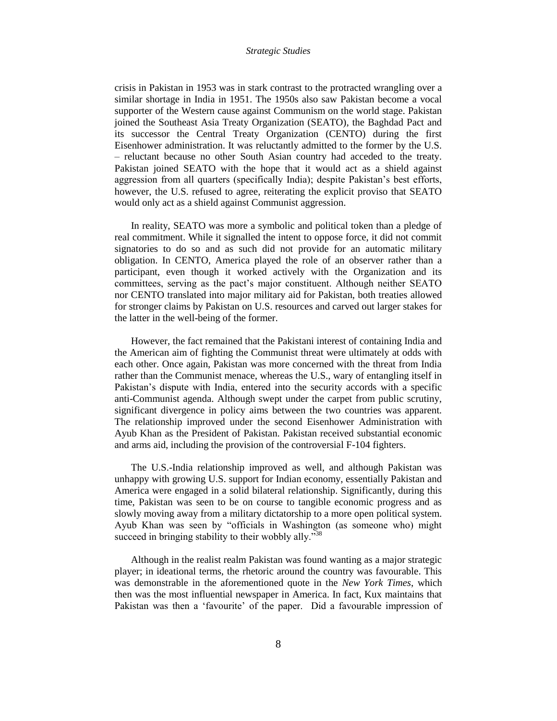crisis in Pakistan in 1953 was in stark contrast to the protracted wrangling over a similar shortage in India in 1951. The 1950s also saw Pakistan become a vocal supporter of the Western cause against Communism on the world stage. Pakistan joined the Southeast Asia Treaty Organization (SEATO), the Baghdad Pact and its successor the Central Treaty Organization (CENTO) during the first Eisenhower administration. It was reluctantly admitted to the former by the U.S. – reluctant because no other South Asian country had acceded to the treaty. Pakistan joined SEATO with the hope that it would act as a shield against aggression from all quarters (specifically India); despite Pakistan's best efforts, however, the U.S. refused to agree, reiterating the explicit proviso that SEATO would only act as a shield against Communist aggression.

In reality, SEATO was more a symbolic and political token than a pledge of real commitment. While it signalled the intent to oppose force, it did not commit signatories to do so and as such did not provide for an automatic military obligation. In CENTO, America played the role of an observer rather than a participant, even though it worked actively with the Organization and its committees, serving as the pact"s major constituent. Although neither SEATO nor CENTO translated into major military aid for Pakistan, both treaties allowed for stronger claims by Pakistan on U.S. resources and carved out larger stakes for the latter in the well-being of the former.

However, the fact remained that the Pakistani interest of containing India and the American aim of fighting the Communist threat were ultimately at odds with each other. Once again, Pakistan was more concerned with the threat from India rather than the Communist menace, whereas the U.S., wary of entangling itself in Pakistan's dispute with India, entered into the security accords with a specific anti-Communist agenda. Although swept under the carpet from public scrutiny, significant divergence in policy aims between the two countries was apparent. The relationship improved under the second Eisenhower Administration with Ayub Khan as the President of Pakistan. Pakistan received substantial economic and arms aid, including the provision of the controversial F-104 fighters.

The U.S.-India relationship improved as well, and although Pakistan was unhappy with growing U.S. support for Indian economy, essentially Pakistan and America were engaged in a solid bilateral relationship. Significantly, during this time, Pakistan was seen to be on course to tangible economic progress and as slowly moving away from a military dictatorship to a more open political system. Ayub Khan was seen by "officials in Washington (as someone who) might succeed in bringing stability to their wobbly ally."<sup>38</sup>

Although in the realist realm Pakistan was found wanting as a major strategic player; in ideational terms, the rhetoric around the country was favourable. This was demonstrable in the aforementioned quote in the *New York Times*, which then was the most influential newspaper in America. In fact, Kux maintains that Pakistan was then a 'favourite' of the paper. Did a favourable impression of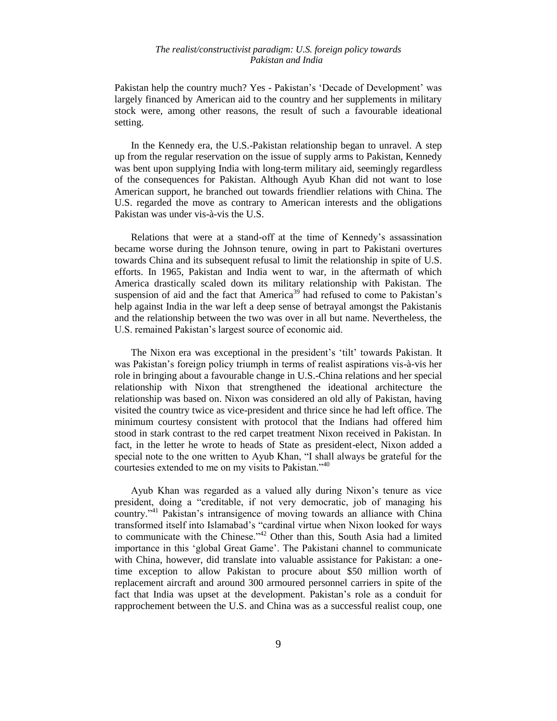Pakistan help the country much? Yes - Pakistan's 'Decade of Development' was largely financed by American aid to the country and her supplements in military stock were, among other reasons, the result of such a favourable ideational setting.

In the Kennedy era, the U.S.-Pakistan relationship began to unravel. A step up from the regular reservation on the issue of supply arms to Pakistan, Kennedy was bent upon supplying India with long-term military aid, seemingly regardless of the consequences for Pakistan. Although Ayub Khan did not want to lose American support, he branched out towards friendlier relations with China. The U.S. regarded the move as contrary to American interests and the obligations Pakistan was under vis-à-vis the U.S.

Relations that were at a stand-off at the time of Kennedy"s assassination became worse during the Johnson tenure, owing in part to Pakistani overtures towards China and its subsequent refusal to limit the relationship in spite of U.S. efforts. In 1965, Pakistan and India went to war, in the aftermath of which America drastically scaled down its military relationship with Pakistan. The suspension of aid and the fact that America<sup>39</sup> had refused to come to Pakistan's help against India in the war left a deep sense of betrayal amongst the Pakistanis and the relationship between the two was over in all but name. Nevertheless, the U.S. remained Pakistan"s largest source of economic aid.

The Nixon era was exceptional in the president's 'tilt' towards Pakistan. It was Pakistan's foreign policy triumph in terms of realist aspirations vis-à-vis her role in bringing about a favourable change in U.S.-China relations and her special relationship with Nixon that strengthened the ideational architecture the relationship was based on. Nixon was considered an old ally of Pakistan, having visited the country twice as vice-president and thrice since he had left office. The minimum courtesy consistent with protocol that the Indians had offered him stood in stark contrast to the red carpet treatment Nixon received in Pakistan. In fact, in the letter he wrote to heads of State as president-elect, Nixon added a special note to the one written to Ayub Khan, "I shall always be grateful for the courtesies extended to me on my visits to Pakistan."<sup>40</sup>

Ayub Khan was regarded as a valued ally during Nixon"s tenure as vice president, doing a "creditable, if not very democratic, job of managing his country."<sup>41</sup> Pakistan's intransigence of moving towards an alliance with China transformed itself into Islamabad"s "cardinal virtue when Nixon looked for ways to communicate with the Chinese."<sup>42</sup> Other than this, South Asia had a limited importance in this "global Great Game". The Pakistani channel to communicate with China, however, did translate into valuable assistance for Pakistan: a onetime exception to allow Pakistan to procure about \$50 million worth of replacement aircraft and around 300 armoured personnel carriers in spite of the fact that India was upset at the development. Pakistan"s role as a conduit for rapprochement between the U.S. and China was as a successful realist coup, one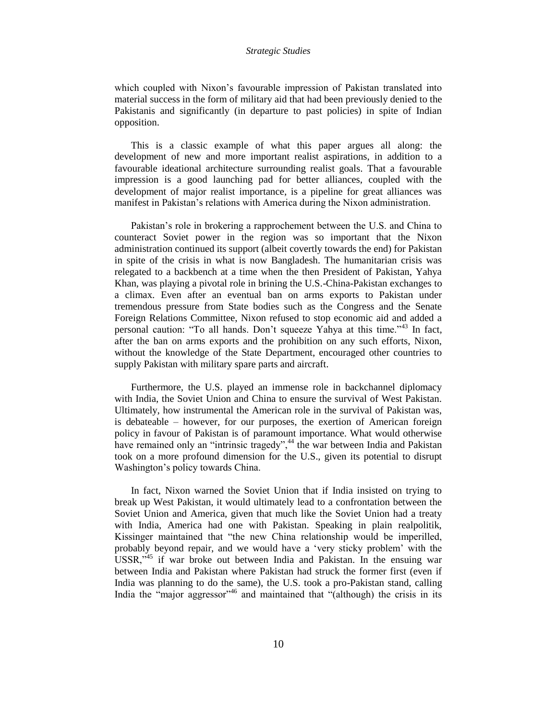which coupled with Nixon"s favourable impression of Pakistan translated into material success in the form of military aid that had been previously denied to the Pakistanis and significantly (in departure to past policies) in spite of Indian opposition.

This is a classic example of what this paper argues all along: the development of new and more important realist aspirations, in addition to a favourable ideational architecture surrounding realist goals. That a favourable impression is a good launching pad for better alliances, coupled with the development of major realist importance, is a pipeline for great alliances was manifest in Pakistan's relations with America during the Nixon administration.

Pakistan"s role in brokering a rapprochement between the U.S. and China to counteract Soviet power in the region was so important that the Nixon administration continued its support (albeit covertly towards the end) for Pakistan in spite of the crisis in what is now Bangladesh. The humanitarian crisis was relegated to a backbench at a time when the then President of Pakistan, Yahya Khan, was playing a pivotal role in brining the U.S.-China-Pakistan exchanges to a climax. Even after an eventual ban on arms exports to Pakistan under tremendous pressure from State bodies such as the Congress and the Senate Foreign Relations Committee, Nixon refused to stop economic aid and added a personal caution: "To all hands. Don"t squeeze Yahya at this time."<sup>43</sup> In fact, after the ban on arms exports and the prohibition on any such efforts, Nixon, without the knowledge of the State Department, encouraged other countries to supply Pakistan with military spare parts and aircraft.

Furthermore, the U.S. played an immense role in backchannel diplomacy with India, the Soviet Union and China to ensure the survival of West Pakistan. Ultimately, how instrumental the American role in the survival of Pakistan was, is debateable – however, for our purposes, the exertion of American foreign policy in favour of Pakistan is of paramount importance. What would otherwise have remained only an "intrinsic tragedy",<sup>44</sup> the war between India and Pakistan took on a more profound dimension for the U.S., given its potential to disrupt Washington"s policy towards China.

In fact, Nixon warned the Soviet Union that if India insisted on trying to break up West Pakistan, it would ultimately lead to a confrontation between the Soviet Union and America, given that much like the Soviet Union had a treaty with India, America had one with Pakistan. Speaking in plain realpolitik, Kissinger maintained that "the new China relationship would be imperilled, probably beyond repair, and we would have a "very sticky problem" with the USSR,"<sup>45</sup> if war broke out between India and Pakistan. In the ensuing war between India and Pakistan where Pakistan had struck the former first (even if India was planning to do the same), the U.S. took a pro-Pakistan stand, calling India the "major aggressor"<sup>46</sup> and maintained that "(although) the crisis in its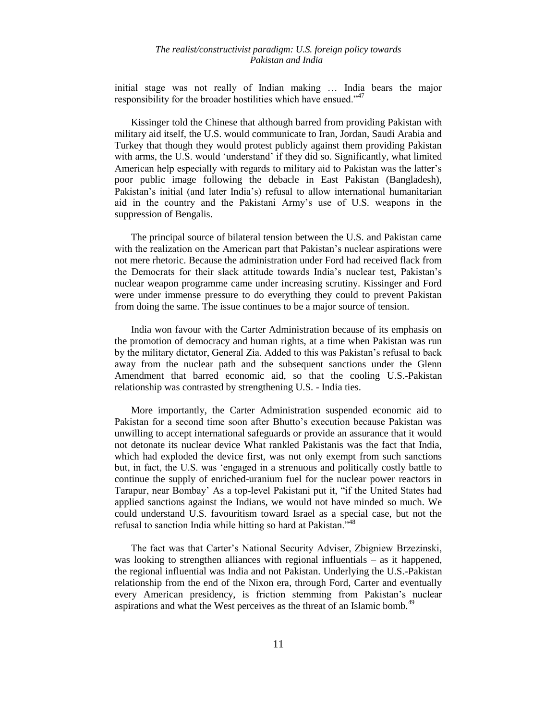initial stage was not really of Indian making … India bears the major responsibility for the broader hostilities which have ensued."<sup>47</sup>

Kissinger told the Chinese that although barred from providing Pakistan with military aid itself, the U.S. would communicate to Iran, Jordan, Saudi Arabia and Turkey that though they would protest publicly against them providing Pakistan with arms, the U.S. would 'understand' if they did so. Significantly, what limited American help especially with regards to military aid to Pakistan was the latter"s poor public image following the debacle in East Pakistan (Bangladesh), Pakistan's initial (and later India's) refusal to allow international humanitarian aid in the country and the Pakistani Army"s use of U.S. weapons in the suppression of Bengalis.

The principal source of bilateral tension between the U.S. and Pakistan came with the realization on the American part that Pakistan's nuclear aspirations were not mere rhetoric. Because the administration under Ford had received flack from the Democrats for their slack attitude towards India"s nuclear test, Pakistan"s nuclear weapon programme came under increasing scrutiny. Kissinger and Ford were under immense pressure to do everything they could to prevent Pakistan from doing the same. The issue continues to be a major source of tension.

India won favour with the Carter Administration because of its emphasis on the promotion of democracy and human rights, at a time when Pakistan was run by the military dictator, General Zia. Added to this was Pakistan"s refusal to back away from the nuclear path and the subsequent sanctions under the Glenn Amendment that barred economic aid, so that the cooling U.S.-Pakistan relationship was contrasted by strengthening U.S. - India ties.

More importantly, the Carter Administration suspended economic aid to Pakistan for a second time soon after Bhutto"s execution because Pakistan was unwilling to accept international safeguards or provide an assurance that it would not detonate its nuclear device What rankled Pakistanis was the fact that India, which had exploded the device first, was not only exempt from such sanctions but, in fact, the U.S. was "engaged in a strenuous and politically costly battle to continue the supply of enriched-uranium fuel for the nuclear power reactors in Tarapur, near Bombay" As a top-level Pakistani put it, "if the United States had applied sanctions against the Indians, we would not have minded so much. We could understand U.S. favouritism toward Israel as a special case, but not the refusal to sanction India while hitting so hard at Pakistan."<sup>48</sup>

The fact was that Carter"s National Security Adviser, Zbigniew Brzezinski, was looking to strengthen alliances with regional influentials – as it happened, the regional influential was India and not Pakistan. Underlying the U.S.-Pakistan relationship from the end of the Nixon era, through Ford, Carter and eventually every American presidency, is friction stemming from Pakistan"s nuclear aspirations and what the West perceives as the threat of an Islamic bomb.<sup>49</sup>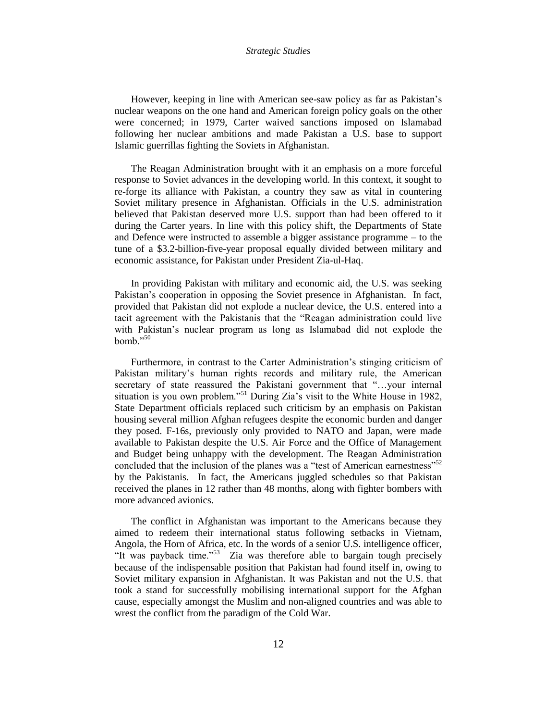However, keeping in line with American see-saw policy as far as Pakistan"s nuclear weapons on the one hand and American foreign policy goals on the other were concerned; in 1979, Carter waived sanctions imposed on Islamabad following her nuclear ambitions and made Pakistan a U.S. base to support Islamic guerrillas fighting the Soviets in Afghanistan.

The Reagan Administration brought with it an emphasis on a more forceful response to Soviet advances in the developing world. In this context, it sought to re-forge its alliance with Pakistan, a country they saw as vital in countering Soviet military presence in Afghanistan. Officials in the U.S. administration believed that Pakistan deserved more U.S. support than had been offered to it during the Carter years. In line with this policy shift, the Departments of State and Defence were instructed to assemble a bigger assistance programme – to the tune of a \$3.2-billion-five-year proposal equally divided between military and economic assistance, for Pakistan under President Zia-ul-Haq.

In providing Pakistan with military and economic aid, the U.S. was seeking Pakistan's cooperation in opposing the Soviet presence in Afghanistan. In fact, provided that Pakistan did not explode a nuclear device, the U.S. entered into a tacit agreement with the Pakistanis that the "Reagan administration could live with Pakistan's nuclear program as long as Islamabad did not explode the bomb." $50$ 

Furthermore, in contrast to the Carter Administration"s stinging criticism of Pakistan military"s human rights records and military rule, the American secretary of state reassured the Pakistani government that "...your internal situation is you own problem."<sup>51</sup> During Zia's visit to the White House in 1982, State Department officials replaced such criticism by an emphasis on Pakistan housing several million Afghan refugees despite the economic burden and danger they posed. F-16s, previously only provided to NATO and Japan, were made available to Pakistan despite the U.S. Air Force and the Office of Management and Budget being unhappy with the development. The Reagan Administration concluded that the inclusion of the planes was a "test of American earnestness"<sup>52</sup> by the Pakistanis. In fact, the Americans juggled schedules so that Pakistan received the planes in 12 rather than 48 months, along with fighter bombers with more advanced avionics.

The conflict in Afghanistan was important to the Americans because they aimed to redeem their international status following setbacks in Vietnam, Angola, the Horn of Africa, etc. In the words of a senior U.S. intelligence officer, "It was payback time."<sup>53</sup> Zia was therefore able to bargain tough precisely because of the indispensable position that Pakistan had found itself in, owing to Soviet military expansion in Afghanistan. It was Pakistan and not the U.S. that took a stand for successfully mobilising international support for the Afghan cause, especially amongst the Muslim and non-aligned countries and was able to wrest the conflict from the paradigm of the Cold War.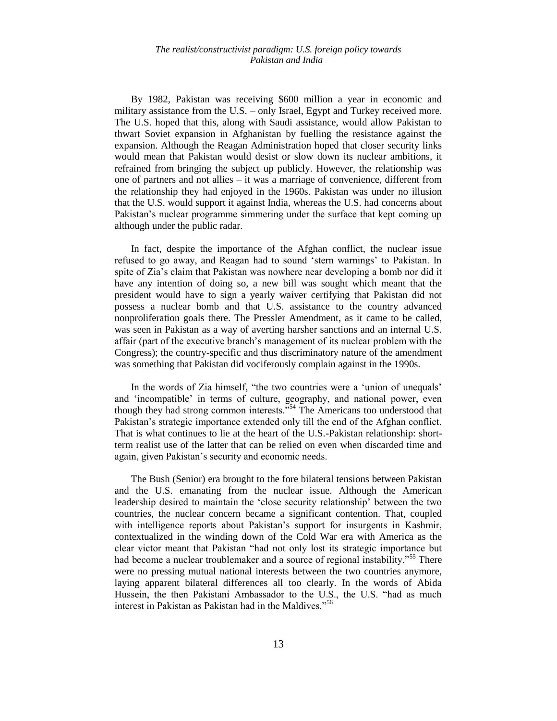By 1982, Pakistan was receiving \$600 million a year in economic and military assistance from the U.S. – only Israel, Egypt and Turkey received more. The U.S. hoped that this, along with Saudi assistance, would allow Pakistan to thwart Soviet expansion in Afghanistan by fuelling the resistance against the expansion. Although the Reagan Administration hoped that closer security links would mean that Pakistan would desist or slow down its nuclear ambitions, it refrained from bringing the subject up publicly. However, the relationship was one of partners and not allies – it was a marriage of convenience, different from the relationship they had enjoyed in the 1960s. Pakistan was under no illusion that the U.S. would support it against India, whereas the U.S. had concerns about Pakistan's nuclear programme simmering under the surface that kept coming up although under the public radar.

In fact, despite the importance of the Afghan conflict, the nuclear issue refused to go away, and Reagan had to sound "stern warnings" to Pakistan. In spite of Zia"s claim that Pakistan was nowhere near developing a bomb nor did it have any intention of doing so, a new bill was sought which meant that the president would have to sign a yearly waiver certifying that Pakistan did not possess a nuclear bomb and that U.S. assistance to the country advanced nonproliferation goals there. The Pressler Amendment, as it came to be called, was seen in Pakistan as a way of averting harsher sanctions and an internal U.S. affair (part of the executive branch"s management of its nuclear problem with the Congress); the country-specific and thus discriminatory nature of the amendment was something that Pakistan did vociferously complain against in the 1990s.

In the words of Zia himself, "the two countries were a 'union of unequals' and "incompatible" in terms of culture, geography, and national power, even though they had strong common interests."<sup>54</sup> The Americans too understood that Pakistan's strategic importance extended only till the end of the Afghan conflict. That is what continues to lie at the heart of the U.S.-Pakistan relationship: shortterm realist use of the latter that can be relied on even when discarded time and again, given Pakistan"s security and economic needs.

The Bush (Senior) era brought to the fore bilateral tensions between Pakistan and the U.S. emanating from the nuclear issue. Although the American leadership desired to maintain the "close security relationship" between the two countries, the nuclear concern became a significant contention. That, coupled with intelligence reports about Pakistan's support for insurgents in Kashmir, contextualized in the winding down of the Cold War era with America as the clear victor meant that Pakistan "had not only lost its strategic importance but had become a nuclear troublemaker and a source of regional instability."<sup>55</sup> There were no pressing mutual national interests between the two countries anymore, laying apparent bilateral differences all too clearly. In the words of Abida Hussein, the then Pakistani Ambassador to the U.S., the U.S. "had as much interest in Pakistan as Pakistan had in the Maldives."<sup>56</sup>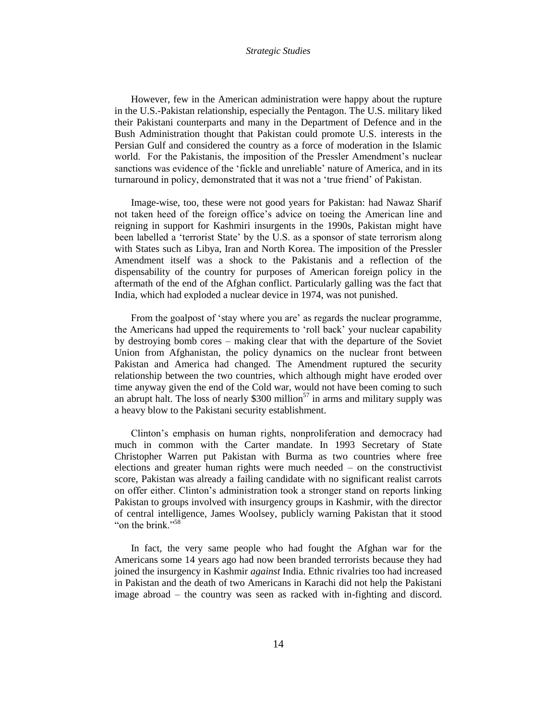However, few in the American administration were happy about the rupture in the U.S.-Pakistan relationship, especially the Pentagon. The U.S. military liked their Pakistani counterparts and many in the Department of Defence and in the Bush Administration thought that Pakistan could promote U.S. interests in the Persian Gulf and considered the country as a force of moderation in the Islamic world. For the Pakistanis, the imposition of the Pressler Amendment's nuclear sanctions was evidence of the "fickle and unreliable" nature of America, and in its turnaround in policy, demonstrated that it was not a "true friend" of Pakistan.

Image-wise, too, these were not good years for Pakistan: had Nawaz Sharif not taken heed of the foreign office"s advice on toeing the American line and reigning in support for Kashmiri insurgents in the 1990s, Pakistan might have been labelled a "terrorist State" by the U.S. as a sponsor of state terrorism along with States such as Libya, Iran and North Korea. The imposition of the Pressler Amendment itself was a shock to the Pakistanis and a reflection of the dispensability of the country for purposes of American foreign policy in the aftermath of the end of the Afghan conflict. Particularly galling was the fact that India, which had exploded a nuclear device in 1974, was not punished.

From the goalpost of 'stay where you are' as regards the nuclear programme, the Americans had upped the requirements to "roll back" your nuclear capability by destroying bomb cores – making clear that with the departure of the Soviet Union from Afghanistan, the policy dynamics on the nuclear front between Pakistan and America had changed. The Amendment ruptured the security relationship between the two countries, which although might have eroded over time anyway given the end of the Cold war, would not have been coming to such an abrupt halt. The loss of nearly  $$300$  million<sup>57</sup> in arms and military supply was a heavy blow to the Pakistani security establishment.

Clinton"s emphasis on human rights, nonproliferation and democracy had much in common with the Carter mandate. In 1993 Secretary of State Christopher Warren put Pakistan with Burma as two countries where free elections and greater human rights were much needed – on the constructivist score, Pakistan was already a failing candidate with no significant realist carrots on offer either. Clinton"s administration took a stronger stand on reports linking Pakistan to groups involved with insurgency groups in Kashmir, with the director of central intelligence, James Woolsey, publicly warning Pakistan that it stood "on the brink."<sup>58</sup>

In fact, the very same people who had fought the Afghan war for the Americans some 14 years ago had now been branded terrorists because they had joined the insurgency in Kashmir *against* India. Ethnic rivalries too had increased in Pakistan and the death of two Americans in Karachi did not help the Pakistani image abroad – the country was seen as racked with in-fighting and discord.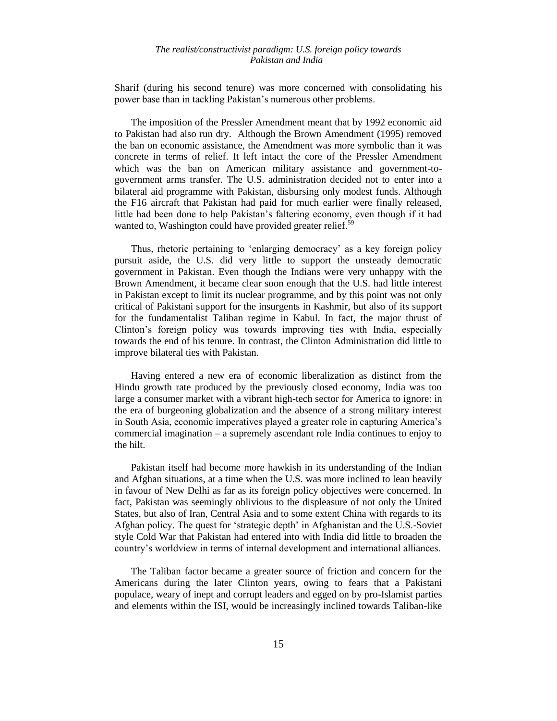Sharif (during his second tenure) was more concerned with consolidating his power base than in tackling Pakistan"s numerous other problems.

The imposition of the Pressler Amendment meant that by 1992 economic aid to Pakistan had also run dry. Although the Brown Amendment (1995) removed the ban on economic assistance, the Amendment was more symbolic than it was concrete in terms of relief. It left intact the core of the Pressler Amendment which was the ban on American military assistance and government-togovernment arms transfer. The U.S. administration decided not to enter into a bilateral aid programme with Pakistan, disbursing only modest funds. Although the F16 aircraft that Pakistan had paid for much earlier were finally released, little had been done to help Pakistan"s faltering economy, even though if it had wanted to, Washington could have provided greater relief. $5<sup>5</sup>$ 

Thus, rhetoric pertaining to "enlarging democracy" as a key foreign policy pursuit aside, the U.S. did very little to support the unsteady democratic government in Pakistan. Even though the Indians were very unhappy with the Brown Amendment, it became clear soon enough that the U.S. had little interest in Pakistan except to limit its nuclear programme, and by this point was not only critical of Pakistani support for the insurgents in Kashmir, but also of its support for the fundamentalist Taliban regime in Kabul. In fact, the major thrust of Clinton"s foreign policy was towards improving ties with India, especially towards the end of his tenure. In contrast, the Clinton Administration did little to improve bilateral ties with Pakistan.

Having entered a new era of economic liberalization as distinct from the Hindu growth rate produced by the previously closed economy, India was too large a consumer market with a vibrant high-tech sector for America to ignore: in the era of burgeoning globalization and the absence of a strong military interest in South Asia, economic imperatives played a greater role in capturing America"s commercial imagination – a supremely ascendant role India continues to enjoy to the hilt.

Pakistan itself had become more hawkish in its understanding of the Indian and Afghan situations, at a time when the U.S. was more inclined to lean heavily in favour of New Delhi as far as its foreign policy objectives were concerned. In fact, Pakistan was seemingly oblivious to the displeasure of not only the United States, but also of Iran, Central Asia and to some extent China with regards to its Afghan policy. The quest for "strategic depth" in Afghanistan and the U.S.-Soviet style Cold War that Pakistan had entered into with India did little to broaden the country"s worldview in terms of internal development and international alliances.

The Taliban factor became a greater source of friction and concern for the Americans during the later Clinton years, owing to fears that a Pakistani populace, weary of inept and corrupt leaders and egged on by pro-Islamist parties and elements within the ISI, would be increasingly inclined towards Taliban-like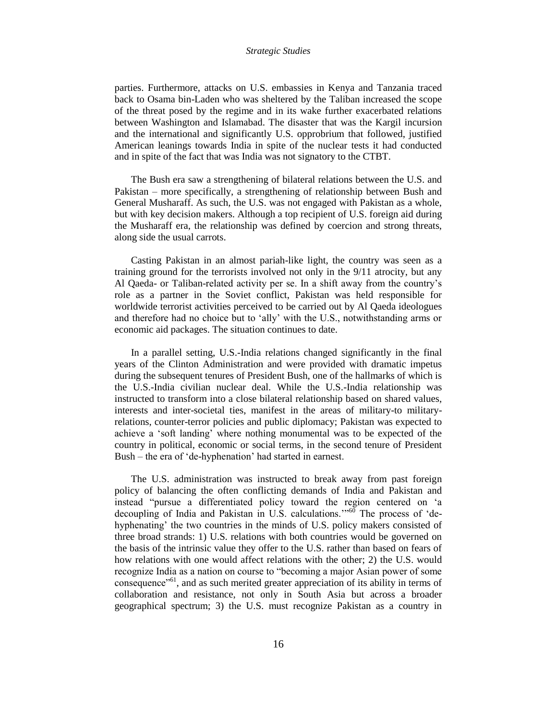parties. Furthermore, attacks on U.S. embassies in Kenya and Tanzania traced back to Osama bin-Laden who was sheltered by the Taliban increased the scope of the threat posed by the regime and in its wake further exacerbated relations between Washington and Islamabad. The disaster that was the Kargil incursion and the international and significantly U.S. opprobrium that followed, justified American leanings towards India in spite of the nuclear tests it had conducted and in spite of the fact that was India was not signatory to the CTBT.

The Bush era saw a strengthening of bilateral relations between the U.S. and Pakistan – more specifically, a strengthening of relationship between Bush and General Musharaff. As such, the U.S. was not engaged with Pakistan as a whole, but with key decision makers. Although a top recipient of U.S. foreign aid during the Musharaff era, the relationship was defined by coercion and strong threats, along side the usual carrots.

Casting Pakistan in an almost pariah-like light, the country was seen as a training ground for the terrorists involved not only in the 9/11 atrocity, but any Al Qaeda- or Taliban-related activity per se. In a shift away from the country"s role as a partner in the Soviet conflict, Pakistan was held responsible for worldwide terrorist activities perceived to be carried out by Al Qaeda ideologues and therefore had no choice but to "ally" with the U.S., notwithstanding arms or economic aid packages. The situation continues to date.

In a parallel setting, U.S.-India relations changed significantly in the final years of the Clinton Administration and were provided with dramatic impetus during the subsequent tenures of President Bush, one of the hallmarks of which is the U.S.-India civilian nuclear deal. While the U.S.-India relationship was instructed to transform into a close bilateral relationship based on shared values, interests and inter-societal ties, manifest in the areas of military-to militaryrelations, counter-terror policies and public diplomacy; Pakistan was expected to achieve a "soft landing" where nothing monumental was to be expected of the country in political, economic or social terms, in the second tenure of President Bush – the era of "de-hyphenation" had started in earnest.

The U.S. administration was instructed to break away from past foreign policy of balancing the often conflicting demands of India and Pakistan and instead "pursue a differentiated policy toward the region centered on "a decoupling of India and Pakistan in U.S. calculations."<sup>60</sup> The process of 'dehyphenating' the two countries in the minds of U.S. policy makers consisted of three broad strands: 1) U.S. relations with both countries would be governed on the basis of the intrinsic value they offer to the U.S. rather than based on fears of how relations with one would affect relations with the other; 2) the U.S. would recognize India as a nation on course to "becoming a major Asian power of some consequence"<sup>61</sup>, and as such merited greater appreciation of its ability in terms of collaboration and resistance, not only in South Asia but across a broader geographical spectrum; 3) the U.S. must recognize Pakistan as a country in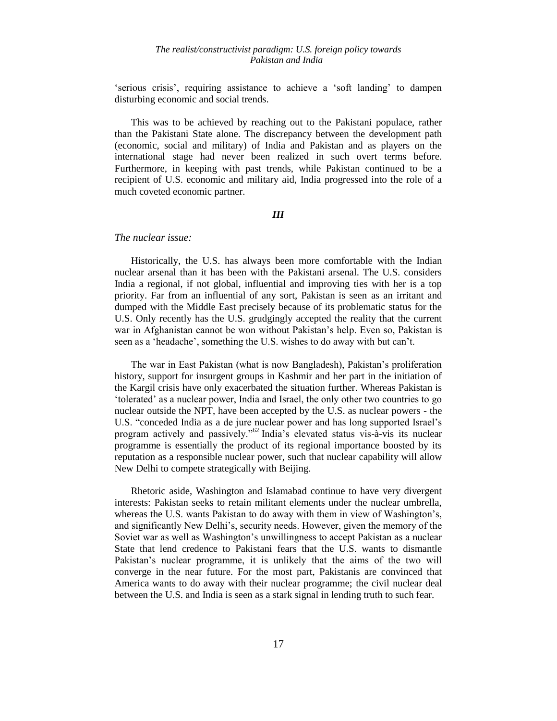"serious crisis", requiring assistance to achieve a "soft landing" to dampen disturbing economic and social trends.

This was to be achieved by reaching out to the Pakistani populace, rather than the Pakistani State alone. The discrepancy between the development path (economic, social and military) of India and Pakistan and as players on the international stage had never been realized in such overt terms before. Furthermore, in keeping with past trends, while Pakistan continued to be a recipient of U.S. economic and military aid, India progressed into the role of a much coveted economic partner.

#### *III*

# *The nuclear issue:*

Historically, the U.S. has always been more comfortable with the Indian nuclear arsenal than it has been with the Pakistani arsenal. The U.S. considers India a regional, if not global, influential and improving ties with her is a top priority. Far from an influential of any sort, Pakistan is seen as an irritant and dumped with the Middle East precisely because of its problematic status for the U.S. Only recently has the U.S. grudgingly accepted the reality that the current war in Afghanistan cannot be won without Pakistan"s help. Even so, Pakistan is seen as a "headache", something the U.S. wishes to do away with but can"t.

The war in East Pakistan (what is now Bangladesh), Pakistan"s proliferation history, support for insurgent groups in Kashmir and her part in the initiation of the Kargil crisis have only exacerbated the situation further. Whereas Pakistan is "tolerated" as a nuclear power, India and Israel, the only other two countries to go nuclear outside the NPT, have been accepted by the U.S. as nuclear powers - the U.S. "conceded India as a de jure nuclear power and has long supported Israel"s program actively and passively."<sup>62</sup> India"s elevated status vis-à-vis its nuclear programme is essentially the product of its regional importance boosted by its reputation as a responsible nuclear power, such that nuclear capability will allow New Delhi to compete strategically with Beijing.

Rhetoric aside, Washington and Islamabad continue to have very divergent interests: Pakistan seeks to retain militant elements under the nuclear umbrella, whereas the U.S. wants Pakistan to do away with them in view of Washington"s, and significantly New Delhi"s, security needs. However, given the memory of the Soviet war as well as Washington"s unwillingness to accept Pakistan as a nuclear State that lend credence to Pakistani fears that the U.S. wants to dismantle Pakistan's nuclear programme, it is unlikely that the aims of the two will converge in the near future. For the most part, Pakistanis are convinced that America wants to do away with their nuclear programme; the civil nuclear deal between the U.S. and India is seen as a stark signal in lending truth to such fear.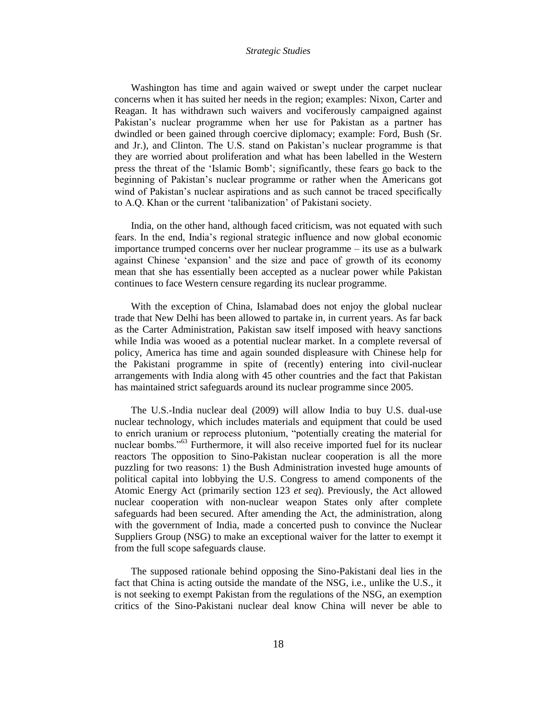Washington has time and again waived or swept under the carpet nuclear concerns when it has suited her needs in the region; examples: Nixon, Carter and Reagan. It has withdrawn such waivers and vociferously campaigned against Pakistan"s nuclear programme when her use for Pakistan as a partner has dwindled or been gained through coercive diplomacy; example: Ford, Bush (Sr. and Jr.), and Clinton. The U.S. stand on Pakistan"s nuclear programme is that they are worried about proliferation and what has been labelled in the Western press the threat of the "Islamic Bomb"; significantly, these fears go back to the beginning of Pakistan's nuclear programme or rather when the Americans got wind of Pakistan's nuclear aspirations and as such cannot be traced specifically to A.Q. Khan or the current "talibanization" of Pakistani society.

India, on the other hand, although faced criticism, was not equated with such fears. In the end, India"s regional strategic influence and now global economic importance trumped concerns over her nuclear programme – its use as a bulwark against Chinese "expansion" and the size and pace of growth of its economy mean that she has essentially been accepted as a nuclear power while Pakistan continues to face Western censure regarding its nuclear programme.

With the exception of China, Islamabad does not enjoy the global nuclear trade that New Delhi has been allowed to partake in, in current years. As far back as the Carter Administration, Pakistan saw itself imposed with heavy sanctions while India was wooed as a potential nuclear market. In a complete reversal of policy, America has time and again sounded displeasure with Chinese help for the Pakistani programme in spite of (recently) entering into civil-nuclear arrangements with India along with 45 other countries and the fact that Pakistan has maintained strict safeguards around its nuclear programme since 2005.

The U.S.-India nuclear deal (2009) will allow India to buy U.S. dual-use nuclear technology, which includes materials and equipment that could be used to enrich uranium or reprocess plutonium, "potentially creating the material for nuclear bombs."<sup>63</sup> Furthermore, it will also receive imported fuel for its nuclear reactors The opposition to Sino-Pakistan nuclear cooperation is all the more puzzling for two reasons: 1) the Bush Administration invested huge amounts of political capital into lobbying the U.S. Congress to amend components of the Atomic Energy Act (primarily section 123 *et seq*). Previously, the Act allowed nuclear cooperation with non-nuclear weapon States only after complete safeguards had been secured. After amending the Act, the administration, along with the government of India, made a concerted push to convince the Nuclear Suppliers Group (NSG) to make an exceptional waiver for the latter to exempt it from the full scope safeguards clause.

The supposed rationale behind opposing the Sino-Pakistani deal lies in the fact that China is acting outside the mandate of the NSG, i.e., unlike the U.S., it is not seeking to exempt Pakistan from the regulations of the NSG, an exemption critics of the Sino-Pakistani nuclear deal know China will never be able to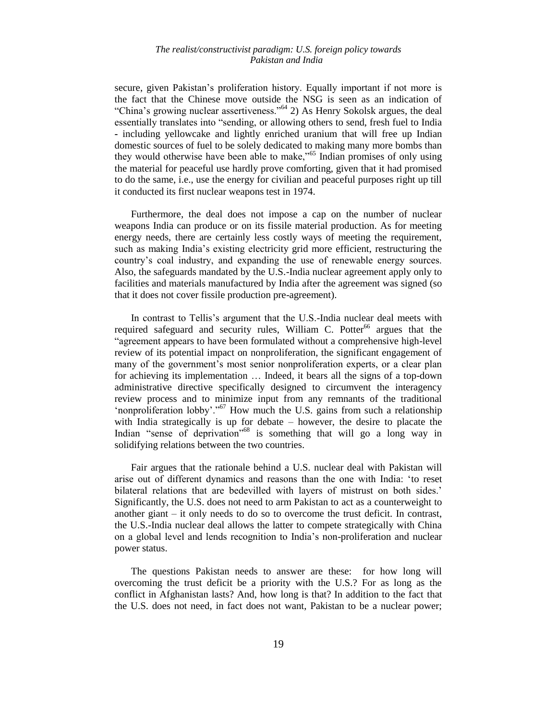secure, given Pakistan's proliferation history. Equally important if not more is the fact that the Chinese move outside the NSG is seen as an indication of "China's growing nuclear assertiveness."<sup> $64$ </sup> 2) As Henry Sokolsk argues, the deal essentially translates into "sending, or allowing others to send, fresh fuel to India **-** including yellowcake and lightly enriched uranium that will free up Indian domestic sources of fuel to be solely dedicated to making many more bombs than they would otherwise have been able to make,<sup>565</sup> Indian promises of only using the material for peaceful use hardly prove comforting, given that it had promised to do the same, i.e., use the energy for civilian and peaceful purposes right up till it conducted its first nuclear weapons test in 1974.

Furthermore, the deal does not impose a cap on the number of nuclear weapons India can produce or on its fissile material production. As for meeting energy needs, there are certainly less costly ways of meeting the requirement, such as making India"s existing electricity grid more efficient, restructuring the country"s coal industry, and expanding the use of renewable energy sources. Also, the safeguards mandated by the U.S.-India nuclear agreement apply only to facilities and materials manufactured by India after the agreement was signed (so that it does not cover fissile production pre-agreement).

In contrast to Tellis's argument that the U.S.-India nuclear deal meets with required safeguard and security rules, William C. Potter<sup>66</sup> argues that the "agreement appears to have been formulated without a comprehensive high-level review of its potential impact on nonproliferation, the significant engagement of many of the government's most senior nonproliferation experts, or a clear plan for achieving its implementation … Indeed, it bears all the signs of a top-down administrative directive specifically designed to circumvent the interagency review process and to minimize input from any remnants of the traditional 'nonproliferation lobby'."<sup>67</sup> How much the U.S. gains from such a relationship with India strategically is up for debate – however, the desire to placate the Indian "sense of deprivation"<sup>68</sup> is something that will go a long way in solidifying relations between the two countries.

Fair argues that the rationale behind a U.S. nuclear deal with Pakistan will arise out of different dynamics and reasons than the one with India: "to reset bilateral relations that are bedevilled with layers of mistrust on both sides.' Significantly, the U.S. does not need to arm Pakistan to act as a counterweight to another giant – it only needs to do so to overcome the trust deficit. In contrast, the U.S.-India nuclear deal allows the latter to compete strategically with China on a global level and lends recognition to India"s non-proliferation and nuclear power status.

The questions Pakistan needs to answer are these: for how long will overcoming the trust deficit be a priority with the U.S.? For as long as the conflict in Afghanistan lasts? And, how long is that? In addition to the fact that the U.S. does not need, in fact does not want, Pakistan to be a nuclear power;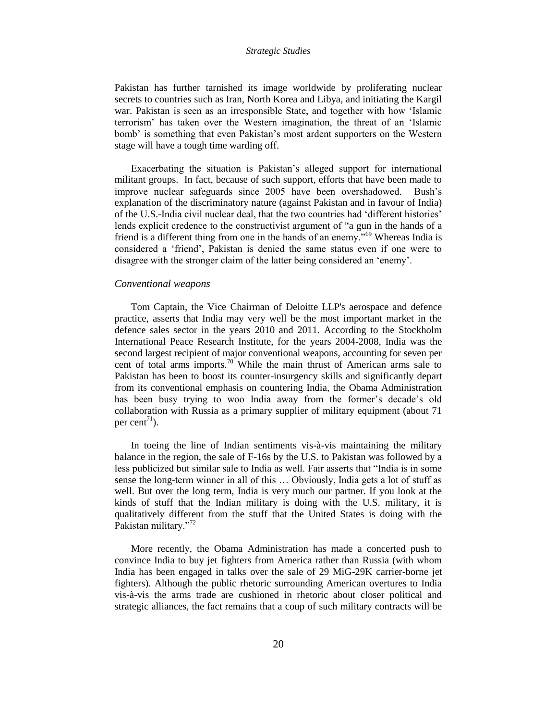Pakistan has further tarnished its image worldwide by proliferating nuclear secrets to countries such as Iran, North Korea and Libya, and initiating the Kargil war. Pakistan is seen as an irresponsible State, and together with how "Islamic terrorism" has taken over the Western imagination, the threat of an "Islamic bomb" is something that even Pakistan"s most ardent supporters on the Western stage will have a tough time warding off.

Exacerbating the situation is Pakistan"s alleged support for international militant groups. In fact, because of such support, efforts that have been made to improve nuclear safeguards since 2005 have been overshadowed. Bush"s explanation of the discriminatory nature (against Pakistan and in favour of India) of the U.S.-India civil nuclear deal, that the two countries had "different histories" lends explicit credence to the constructivist argument of "a gun in the hands of a friend is a different thing from one in the hands of an enemy."<sup>69</sup> Whereas India is considered a "friend", Pakistan is denied the same status even if one were to disagree with the stronger claim of the latter being considered an "enemy".

#### *Conventional weapons*

Tom Captain, the Vice Chairman of Deloitte LLP's aerospace and defence practice, asserts that India may very well be the most important market in the defence sales sector in the years 2010 and 2011. According to the Stockholm International Peace Research Institute, for the years 2004-2008, India was the second largest recipient of major conventional weapons, accounting for seven per cent of total arms imports.<sup>70</sup> While the main thrust of American arms sale to Pakistan has been to boost its counter-insurgency skills and significantly depart from its conventional emphasis on countering India, the Obama Administration has been busy trying to woo India away from the former's decade's old collaboration with Russia as a primary supplier of military equipment (about 71 per cent<sup> $71$ </sup>).

In toeing the line of Indian sentiments vis-à-vis maintaining the military balance in the region, the sale of F-16s by the U.S. to Pakistan was followed by a less publicized but similar sale to India as well. Fair asserts that "India is in some sense the long-term winner in all of this … Obviously, India gets a lot of stuff as well. But over the long term, India is very much our partner. If you look at the kinds of stuff that the Indian military is doing with the U.S. military, it is qualitatively different from the stuff that the United States is doing with the Pakistan military."<sup>72</sup>

More recently, the Obama Administration has made a concerted push to convince India to buy jet fighters from America rather than Russia (with whom India has been engaged in talks over the sale of 29 MiG-29K carrier-borne jet fighters). Although the public rhetoric surrounding American overtures to India vis-à-vis the arms trade are cushioned in rhetoric about closer political and strategic alliances, the fact remains that a coup of such military contracts will be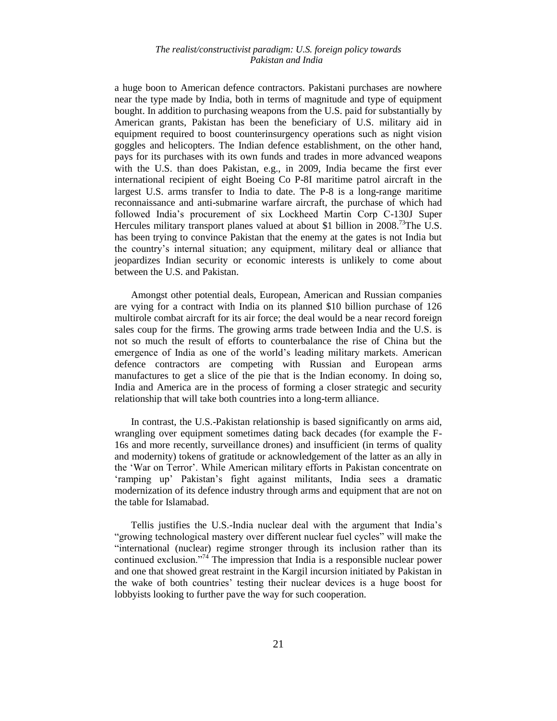a huge boon to American defence contractors. Pakistani purchases are nowhere near the type made by India, both in terms of magnitude and type of equipment bought. In addition to purchasing weapons from the U.S. paid for substantially by American grants, Pakistan has been the beneficiary of U.S. military aid in equipment required to boost counterinsurgency operations such as night vision goggles and helicopters. The Indian defence establishment, on the other hand, pays for its purchases with its own funds and trades in more advanced weapons with the U.S. than does Pakistan, e.g., in 2009, India became the first ever international recipient of eight Boeing Co P-8I maritime patrol aircraft in the largest U.S. arms transfer to India to date. The P-8 is a long-range maritime reconnaissance and anti-submarine warfare aircraft, the purchase of which had followed India"s procurement of six Lockheed Martin Corp C-130J Super Hercules military transport planes valued at about \$1 billion in  $2008$ <sup>73</sup>The U.S. has been trying to convince Pakistan that the enemy at the gates is not India but the country"s internal situation; any equipment, military deal or alliance that jeopardizes Indian security or economic interests is unlikely to come about between the U.S. and Pakistan.

Amongst other potential deals, European, American and Russian companies are vying for a contract with India on its planned \$10 billion purchase of 126 multirole combat aircraft for its air force; the deal would be a near record foreign sales coup for the firms. The growing arms trade between India and the U.S. is not so much the result of efforts to counterbalance the rise of China but the emergence of India as one of the world"s leading military markets. American defence contractors are competing with Russian and European arms manufactures to get a slice of the pie that is the Indian economy. In doing so, India and America are in the process of forming a closer strategic and security relationship that will take both countries into a long-term alliance.

In contrast, the U.S.-Pakistan relationship is based significantly on arms aid, wrangling over equipment sometimes dating back decades (for example the F-16s and more recently, surveillance drones) and insufficient (in terms of quality and modernity) tokens of gratitude or acknowledgement of the latter as an ally in the "War on Terror". While American military efforts in Pakistan concentrate on "ramping up" Pakistan"s fight against militants, India sees a dramatic modernization of its defence industry through arms and equipment that are not on the table for Islamabad.

Tellis justifies the U.S.-India nuclear deal with the argument that India"s "growing technological mastery over different nuclear fuel cycles" will make the "international (nuclear) regime stronger through its inclusion rather than its continued exclusion."<sup>74</sup> The impression that India is a responsible nuclear power and one that showed great restraint in the Kargil incursion initiated by Pakistan in the wake of both countries" testing their nuclear devices is a huge boost for lobbyists looking to further pave the way for such cooperation.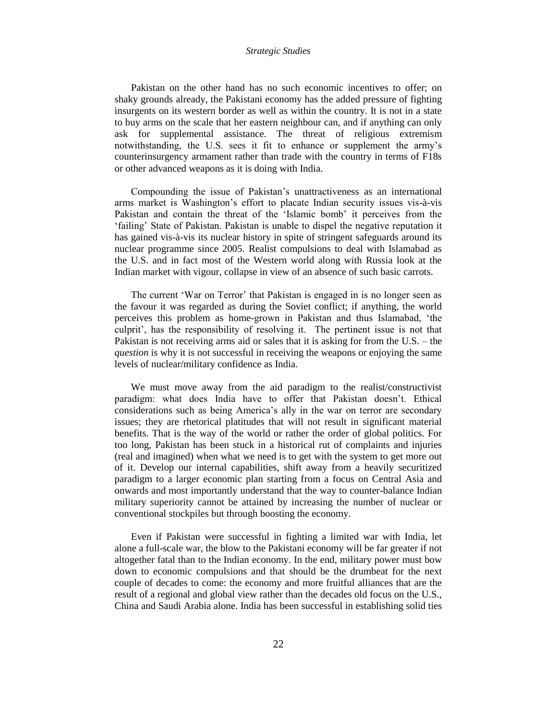Pakistan on the other hand has no such economic incentives to offer; on shaky grounds already, the Pakistani economy has the added pressure of fighting insurgents on its western border as well as within the country. It is not in a state to buy arms on the scale that her eastern neighbour can, and if anything can only ask for supplemental assistance. The threat of religious extremism notwithstanding, the U.S. sees it fit to enhance or supplement the army"s counterinsurgency armament rather than trade with the country in terms of F18s or other advanced weapons as it is doing with India.

Compounding the issue of Pakistan"s unattractiveness as an international arms market is Washington's effort to placate Indian security issues vis-à-vis Pakistan and contain the threat of the 'Islamic bomb' it perceives from the "failing" State of Pakistan. Pakistan is unable to dispel the negative reputation it has gained vis-à-vis its nuclear history in spite of stringent safeguards around its nuclear programme since 2005. Realist compulsions to deal with Islamabad as the U.S. and in fact most of the Western world along with Russia look at the Indian market with vigour, collapse in view of an absence of such basic carrots.

The current 'War on Terror' that Pakistan is engaged in is no longer seen as the favour it was regarded as during the Soviet conflict; if anything, the world perceives this problem as home-grown in Pakistan and thus Islamabad, "the culprit", has the responsibility of resolving it. The pertinent issue is not that Pakistan is not receiving arms aid or sales that it is asking for from the U.S. – the *question* is why it is not successful in receiving the weapons or enjoying the same levels of nuclear/military confidence as India.

We must move away from the aid paradigm to the realist/constructivist paradigm: what does India have to offer that Pakistan doesn"t. Ethical considerations such as being America"s ally in the war on terror are secondary issues; they are rhetorical platitudes that will not result in significant material benefits. That is the way of the world or rather the order of global politics. For too long, Pakistan has been stuck in a historical rut of complaints and injuries (real and imagined) when what we need is to get with the system to get more out of it. Develop our internal capabilities, shift away from a heavily securitized paradigm to a larger economic plan starting from a focus on Central Asia and onwards and most importantly understand that the way to counter-balance Indian military superiority cannot be attained by increasing the number of nuclear or conventional stockpiles but through boosting the economy.

Even if Pakistan were successful in fighting a limited war with India, let alone a full-scale war, the blow to the Pakistani economy will be far greater if not altogether fatal than to the Indian economy. In the end, military power must bow down to economic compulsions and that should be the drumbeat for the next couple of decades to come: the economy and more fruitful alliances that are the result of a regional and global view rather than the decades old focus on the U.S., China and Saudi Arabia alone. India has been successful in establishing solid ties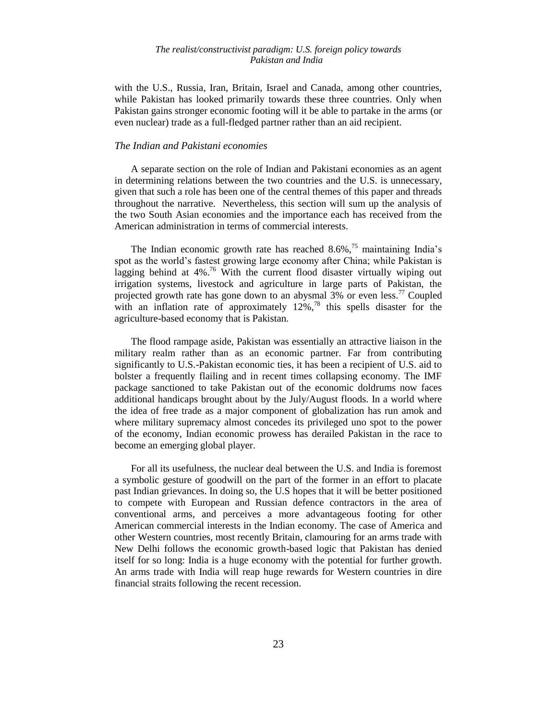with the U.S., Russia, Iran, Britain, Israel and Canada, among other countries, while Pakistan has looked primarily towards these three countries. Only when Pakistan gains stronger economic footing will it be able to partake in the arms (or even nuclear) trade as a full-fledged partner rather than an aid recipient.

# *The Indian and Pakistani economies*

A separate section on the role of Indian and Pakistani economies as an agent in determining relations between the two countries and the U.S. is unnecessary, given that such a role has been one of the central themes of this paper and threads throughout the narrative. Nevertheless, this section will sum up the analysis of the two South Asian economies and the importance each has received from the American administration in terms of commercial interests.

The Indian economic growth rate has reached  $8.6\%$ ,<sup>75</sup> maintaining India's spot as the world"s fastest growing large economy after China; while Pakistan is lagging behind at  $4\%$ .<sup>76</sup> With the current flood disaster virtually wiping out irrigation systems, livestock and agriculture in large parts of Pakistan, the projected growth rate has gone down to an abysmal  $3\%$  or even less.<sup>77</sup> Coupled with an inflation rate of approximately  $12\%$ ,<sup>78</sup> this spells disaster for the agriculture-based economy that is Pakistan.

The flood rampage aside, Pakistan was essentially an attractive liaison in the military realm rather than as an economic partner. Far from contributing significantly to U.S.-Pakistan economic ties, it has been a recipient of U.S. aid to bolster a frequently flailing and in recent times collapsing economy. The IMF package sanctioned to take Pakistan out of the economic doldrums now faces additional handicaps brought about by the July/August floods. In a world where the idea of free trade as a major component of globalization has run amok and where military supremacy almost concedes its privileged uno spot to the power of the economy, Indian economic prowess has derailed Pakistan in the race to become an emerging global player.

For all its usefulness, the nuclear deal between the U.S. and India is foremost a symbolic gesture of goodwill on the part of the former in an effort to placate past Indian grievances. In doing so, the U.S hopes that it will be better positioned to compete with European and Russian defence contractors in the area of conventional arms, and perceives a more advantageous footing for other American commercial interests in the Indian economy. The case of America and other Western countries, most recently Britain, clamouring for an arms trade with New Delhi follows the economic growth-based logic that Pakistan has denied itself for so long: India is a huge economy with the potential for further growth. An arms trade with India will reap huge rewards for Western countries in dire financial straits following the recent recession.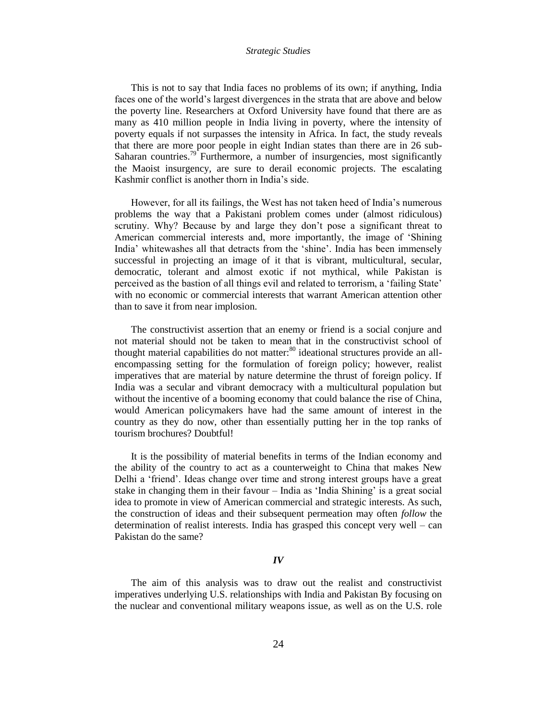This is not to say that India faces no problems of its own; if anything, India faces one of the world"s largest divergences in the strata that are above and below the poverty line. Researchers at Oxford University have found that there are as many as 410 million people in India living in poverty, where the intensity of poverty equals if not surpasses the intensity in Africa. In fact, the study reveals that there are more poor people in eight Indian states than there are in 26 sub-Saharan countries.<sup>79</sup> Furthermore, a number of insurgencies, most significantly the Maoist insurgency, are sure to derail economic projects. The escalating Kashmir conflict is another thorn in India"s side.

However, for all its failings, the West has not taken heed of India"s numerous problems the way that a Pakistani problem comes under (almost ridiculous) scrutiny. Why? Because by and large they don"t pose a significant threat to American commercial interests and, more importantly, the image of "Shining India" whitewashes all that detracts from the "shine". India has been immensely successful in projecting an image of it that is vibrant, multicultural, secular, democratic, tolerant and almost exotic if not mythical, while Pakistan is perceived as the bastion of all things evil and related to terrorism, a "failing State" with no economic or commercial interests that warrant American attention other than to save it from near implosion.

The constructivist assertion that an enemy or friend is a social conjure and not material should not be taken to mean that in the constructivist school of thought material capabilities do not matter: $80$  ideational structures provide an allencompassing setting for the formulation of foreign policy; however, realist imperatives that are material by nature determine the thrust of foreign policy. If India was a secular and vibrant democracy with a multicultural population but without the incentive of a booming economy that could balance the rise of China, would American policymakers have had the same amount of interest in the country as they do now, other than essentially putting her in the top ranks of tourism brochures? Doubtful!

It is the possibility of material benefits in terms of the Indian economy and the ability of the country to act as a counterweight to China that makes New Delhi a "friend". Ideas change over time and strong interest groups have a great stake in changing them in their favour – India as "India Shining" is a great social idea to promote in view of American commercial and strategic interests. As such, the construction of ideas and their subsequent permeation may often *follow* the determination of realist interests. India has grasped this concept very well – can Pakistan do the same?

#### *IV*

The aim of this analysis was to draw out the realist and constructivist imperatives underlying U.S. relationships with India and Pakistan By focusing on the nuclear and conventional military weapons issue, as well as on the U.S. role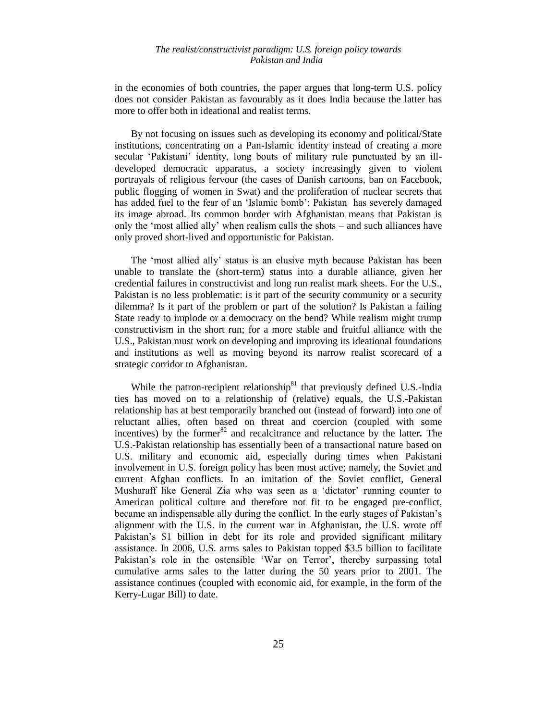in the economies of both countries, the paper argues that long-term U.S. policy does not consider Pakistan as favourably as it does India because the latter has more to offer both in ideational and realist terms.

By not focusing on issues such as developing its economy and political/State institutions, concentrating on a Pan-Islamic identity instead of creating a more secular 'Pakistani' identity, long bouts of military rule punctuated by an illdeveloped democratic apparatus, a society increasingly given to violent portrayals of religious fervour (the cases of Danish cartoons, ban on Facebook, public flogging of women in Swat) and the proliferation of nuclear secrets that has added fuel to the fear of an 'Islamic bomb'; Pakistan has severely damaged its image abroad. Its common border with Afghanistan means that Pakistan is only the "most allied ally" when realism calls the shots – and such alliances have only proved short-lived and opportunistic for Pakistan.

The "most allied ally" status is an elusive myth because Pakistan has been unable to translate the (short-term) status into a durable alliance, given her credential failures in constructivist and long run realist mark sheets. For the U.S., Pakistan is no less problematic: is it part of the security community or a security dilemma? Is it part of the problem or part of the solution? Is Pakistan a failing State ready to implode or a democracy on the bend? While realism might trump constructivism in the short run; for a more stable and fruitful alliance with the U.S., Pakistan must work on developing and improving its ideational foundations and institutions as well as moving beyond its narrow realist scorecard of a strategic corridor to Afghanistan.

While the patron-recipient relationship $81$  that previously defined U.S.-India ties has moved on to a relationship of (relative) equals, the U.S.-Pakistan relationship has at best temporarily branched out (instead of forward) into one of reluctant allies, often based on threat and coercion (coupled with some incentives) by the former<sup>82</sup> and recalcitrance and reluctance by the latter. The U.S.-Pakistan relationship has essentially been of a transactional nature based on U.S. military and economic aid, especially during times when Pakistani involvement in U.S. foreign policy has been most active; namely, the Soviet and current Afghan conflicts. In an imitation of the Soviet conflict, General Musharaff like General Zia who was seen as a 'dictator' running counter to American political culture and therefore not fit to be engaged pre-conflict, became an indispensable ally during the conflict. In the early stages of Pakistan"s alignment with the U.S. in the current war in Afghanistan, the U.S. wrote off Pakistan"s \$1 billion in debt for its role and provided significant military assistance. In 2006, U.S. arms sales to Pakistan topped \$3.5 billion to facilitate Pakistan"s role in the ostensible "War on Terror", thereby surpassing total cumulative arms sales to the latter during the 50 years prior to 2001. The assistance continues (coupled with economic aid, for example, in the form of the Kerry-Lugar Bill) to date.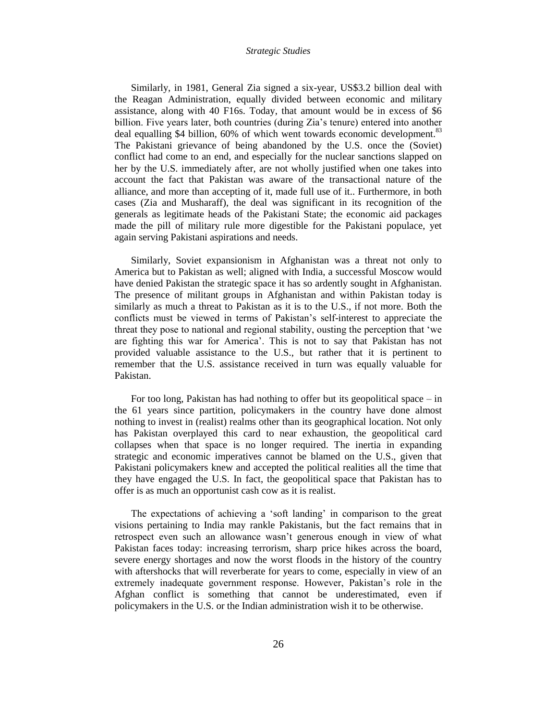Similarly, in 1981, General Zia signed a six-year, US\$3.2 billion deal with the Reagan Administration, equally divided between economic and military assistance, along with 40 F16s. Today, that amount would be in excess of \$6 billion. Five years later, both countries (during Zia's tenure) entered into another deal equalling \$4 billion, 60% of which went towards economic development.<sup>83</sup> The Pakistani grievance of being abandoned by the U.S. once the (Soviet) conflict had come to an end, and especially for the nuclear sanctions slapped on her by the U.S. immediately after, are not wholly justified when one takes into account the fact that Pakistan was aware of the transactional nature of the alliance, and more than accepting of it, made full use of it.. Furthermore, in both cases (Zia and Musharaff), the deal was significant in its recognition of the generals as legitimate heads of the Pakistani State; the economic aid packages made the pill of military rule more digestible for the Pakistani populace, yet again serving Pakistani aspirations and needs.

Similarly, Soviet expansionism in Afghanistan was a threat not only to America but to Pakistan as well; aligned with India, a successful Moscow would have denied Pakistan the strategic space it has so ardently sought in Afghanistan. The presence of militant groups in Afghanistan and within Pakistan today is similarly as much a threat to Pakistan as it is to the U.S., if not more. Both the conflicts must be viewed in terms of Pakistan"s self-interest to appreciate the threat they pose to national and regional stability, ousting the perception that "we are fighting this war for America". This is not to say that Pakistan has not provided valuable assistance to the U.S., but rather that it is pertinent to remember that the U.S. assistance received in turn was equally valuable for Pakistan.

For too long, Pakistan has had nothing to offer but its geopolitical space – in the 61 years since partition, policymakers in the country have done almost nothing to invest in (realist) realms other than its geographical location. Not only has Pakistan overplayed this card to near exhaustion, the geopolitical card collapses when that space is no longer required. The inertia in expanding strategic and economic imperatives cannot be blamed on the U.S., given that Pakistani policymakers knew and accepted the political realities all the time that they have engaged the U.S. In fact, the geopolitical space that Pakistan has to offer is as much an opportunist cash cow as it is realist.

The expectations of achieving a 'soft landing' in comparison to the great visions pertaining to India may rankle Pakistanis, but the fact remains that in retrospect even such an allowance wasn"t generous enough in view of what Pakistan faces today: increasing terrorism, sharp price hikes across the board, severe energy shortages and now the worst floods in the history of the country with aftershocks that will reverberate for years to come, especially in view of an extremely inadequate government response. However, Pakistan's role in the Afghan conflict is something that cannot be underestimated, even if policymakers in the U.S. or the Indian administration wish it to be otherwise.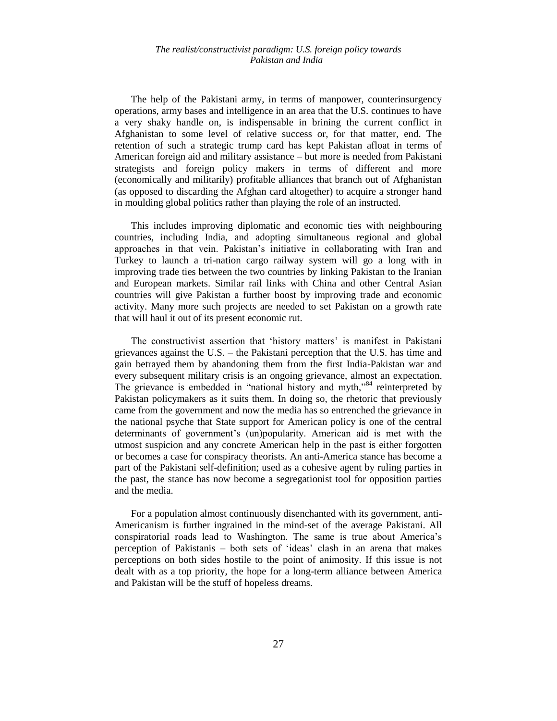The help of the Pakistani army, in terms of manpower, counterinsurgency operations, army bases and intelligence in an area that the U.S. continues to have a very shaky handle on, is indispensable in brining the current conflict in Afghanistan to some level of relative success or, for that matter, end. The retention of such a strategic trump card has kept Pakistan afloat in terms of American foreign aid and military assistance – but more is needed from Pakistani strategists and foreign policy makers in terms of different and more (economically and militarily) profitable alliances that branch out of Afghanistan (as opposed to discarding the Afghan card altogether) to acquire a stronger hand in moulding global politics rather than playing the role of an instructed.

This includes improving diplomatic and economic ties with neighbouring countries, including India, and adopting simultaneous regional and global approaches in that vein. Pakistan"s initiative in collaborating with Iran and Turkey to launch a tri-nation cargo railway system will go a long with in improving trade ties between the two countries by linking Pakistan to the Iranian and European markets. Similar rail links with China and other Central Asian countries will give Pakistan a further boost by improving trade and economic activity. Many more such projects are needed to set Pakistan on a growth rate that will haul it out of its present economic rut.

The constructivist assertion that 'history matters' is manifest in Pakistani grievances against the U.S. – the Pakistani perception that the U.S. has time and gain betrayed them by abandoning them from the first India-Pakistan war and every subsequent military crisis is an ongoing grievance, almost an expectation. The grievance is embedded in "national history and myth,"<sup>84</sup> reinterpreted by Pakistan policymakers as it suits them. In doing so, the rhetoric that previously came from the government and now the media has so entrenched the grievance in the national psyche that State support for American policy is one of the central determinants of government"s (un)popularity. American aid is met with the utmost suspicion and any concrete American help in the past is either forgotten or becomes a case for conspiracy theorists. An anti-America stance has become a part of the Pakistani self-definition; used as a cohesive agent by ruling parties in the past, the stance has now become a segregationist tool for opposition parties and the media.

For a population almost continuously disenchanted with its government, anti-Americanism is further ingrained in the mind-set of the average Pakistani. All conspiratorial roads lead to Washington. The same is true about America"s perception of Pakistanis – both sets of "ideas" clash in an arena that makes perceptions on both sides hostile to the point of animosity. If this issue is not dealt with as a top priority, the hope for a long-term alliance between America and Pakistan will be the stuff of hopeless dreams.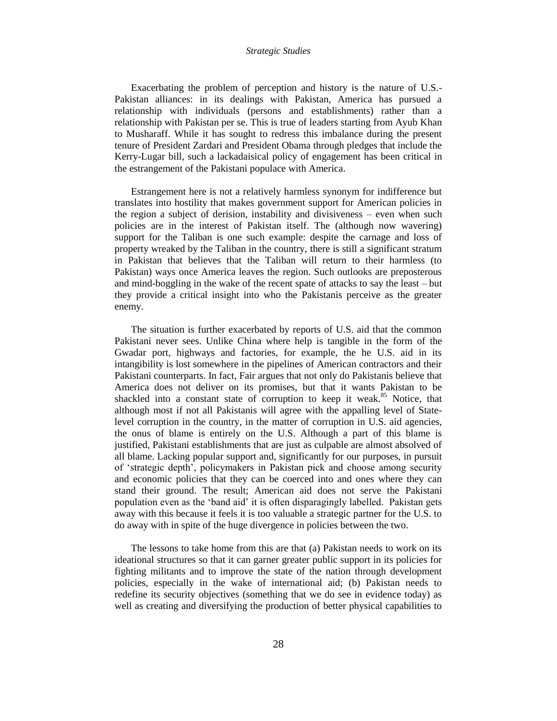Exacerbating the problem of perception and history is the nature of U.S.- Pakistan alliances: in its dealings with Pakistan, America has pursued a relationship with individuals (persons and establishments) rather than a relationship with Pakistan per se. This is true of leaders starting from Ayub Khan to Musharaff. While it has sought to redress this imbalance during the present tenure of President Zardari and President Obama through pledges that include the Kerry-Lugar bill, such a lackadaisical policy of engagement has been critical in the estrangement of the Pakistani populace with America.

Estrangement here is not a relatively harmless synonym for indifference but translates into hostility that makes government support for American policies in the region a subject of derision, instability and divisiveness – even when such policies are in the interest of Pakistan itself. The (although now wavering) support for the Taliban is one such example: despite the carnage and loss of property wreaked by the Taliban in the country, there is still a significant stratum in Pakistan that believes that the Taliban will return to their harmless (to Pakistan) ways once America leaves the region. Such outlooks are preposterous and mind-boggling in the wake of the recent spate of attacks to say the least – but they provide a critical insight into who the Pakistanis perceive as the greater enemy.

The situation is further exacerbated by reports of U.S. aid that the common Pakistani never sees. Unlike China where help is tangible in the form of the Gwadar port, highways and factories, for example, the he U.S. aid in its intangibility is lost somewhere in the pipelines of American contractors and their Pakistani counterparts. In fact, Fair argues that not only do Pakistanis believe that America does not deliver on its promises, but that it wants Pakistan to be shackled into a constant state of corruption to keep it weak.<sup>85</sup> Notice, that although most if not all Pakistanis will agree with the appalling level of Statelevel corruption in the country, in the matter of corruption in U.S. aid agencies, the onus of blame is entirely on the U.S. Although a part of this blame is justified, Pakistani establishments that are just as culpable are almost absolved of all blame. Lacking popular support and, significantly for our purposes, in pursuit of "strategic depth", policymakers in Pakistan pick and choose among security and economic policies that they can be coerced into and ones where they can stand their ground. The result; American aid does not serve the Pakistani population even as the "band aid" it is often disparagingly labelled. Pakistan gets away with this because it feels it is too valuable a strategic partner for the U.S. to do away with in spite of the huge divergence in policies between the two.

The lessons to take home from this are that (a) Pakistan needs to work on its ideational structures so that it can garner greater public support in its policies for fighting militants and to improve the state of the nation through development policies, especially in the wake of international aid; (b) Pakistan needs to redefine its security objectives (something that we do see in evidence today) as well as creating and diversifying the production of better physical capabilities to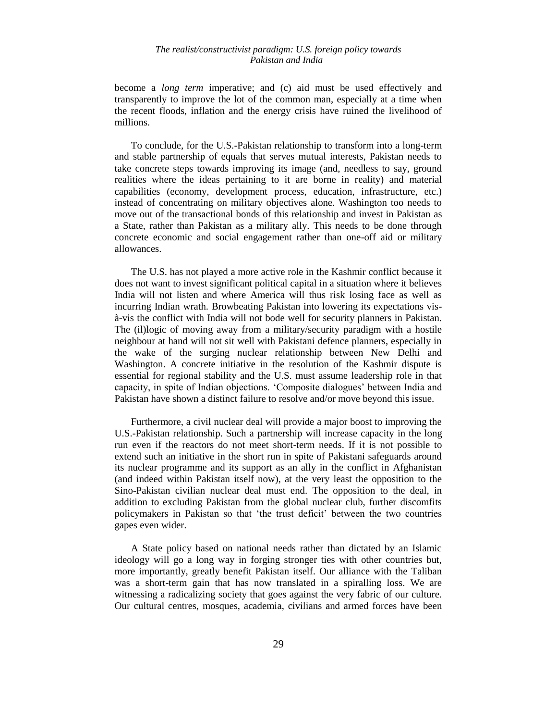become a *long term* imperative; and (c) aid must be used effectively and transparently to improve the lot of the common man, especially at a time when the recent floods, inflation and the energy crisis have ruined the livelihood of millions.

To conclude, for the U.S.-Pakistan relationship to transform into a long-term and stable partnership of equals that serves mutual interests, Pakistan needs to take concrete steps towards improving its image (and, needless to say, ground realities where the ideas pertaining to it are borne in reality) and material capabilities (economy, development process, education, infrastructure, etc.) instead of concentrating on military objectives alone. Washington too needs to move out of the transactional bonds of this relationship and invest in Pakistan as a State, rather than Pakistan as a military ally. This needs to be done through concrete economic and social engagement rather than one-off aid or military allowances.

The U.S. has not played a more active role in the Kashmir conflict because it does not want to invest significant political capital in a situation where it believes India will not listen and where America will thus risk losing face as well as incurring Indian wrath. Browbeating Pakistan into lowering its expectations visà-vis the conflict with India will not bode well for security planners in Pakistan. The (il)logic of moving away from a military/security paradigm with a hostile neighbour at hand will not sit well with Pakistani defence planners, especially in the wake of the surging nuclear relationship between New Delhi and Washington. A concrete initiative in the resolution of the Kashmir dispute is essential for regional stability and the U.S. must assume leadership role in that capacity, in spite of Indian objections. "Composite dialogues" between India and Pakistan have shown a distinct failure to resolve and/or move beyond this issue.

Furthermore, a civil nuclear deal will provide a major boost to improving the U.S.-Pakistan relationship. Such a partnership will increase capacity in the long run even if the reactors do not meet short-term needs. If it is not possible to extend such an initiative in the short run in spite of Pakistani safeguards around its nuclear programme and its support as an ally in the conflict in Afghanistan (and indeed within Pakistan itself now), at the very least the opposition to the Sino-Pakistan civilian nuclear deal must end. The opposition to the deal, in addition to excluding Pakistan from the global nuclear club, further discomfits policymakers in Pakistan so that "the trust deficit" between the two countries gapes even wider.

A State policy based on national needs rather than dictated by an Islamic ideology will go a long way in forging stronger ties with other countries but, more importantly, greatly benefit Pakistan itself. Our alliance with the Taliban was a short-term gain that has now translated in a spiralling loss. We are witnessing a radicalizing society that goes against the very fabric of our culture. Our cultural centres, mosques, academia, civilians and armed forces have been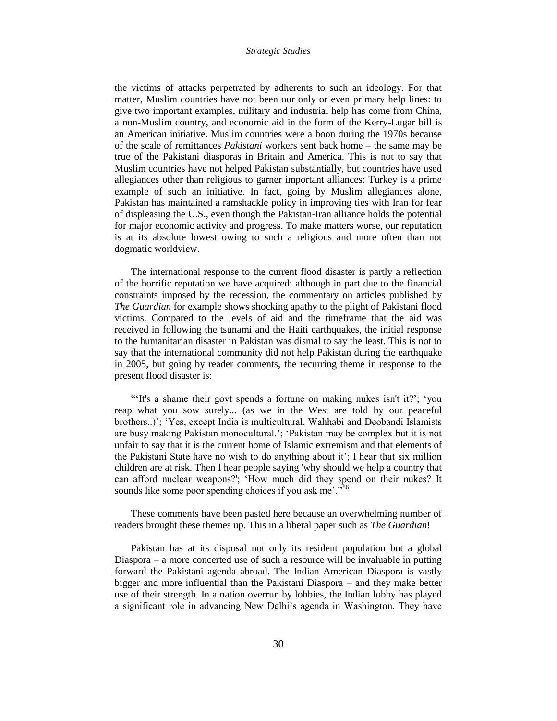the victims of attacks perpetrated by adherents to such an ideology. For that matter, Muslim countries have not been our only or even primary help lines: to give two important examples, military and industrial help has come from China, a non-Muslim country, and economic aid in the form of the Kerry-Lugar bill is an American initiative. Muslim countries were a boon during the 1970s because of the scale of remittances *Pakistani* workers sent back home – the same may be true of the Pakistani diasporas in Britain and America. This is not to say that Muslim countries have not helped Pakistan substantially, but countries have used allegiances other than religious to garner important alliances: Turkey is a prime example of such an initiative. In fact, going by Muslim allegiances alone, Pakistan has maintained a ramshackle policy in improving ties with Iran for fear of displeasing the U.S., even though the Pakistan-Iran alliance holds the potential for major economic activity and progress. To make matters worse, our reputation is at its absolute lowest owing to such a religious and more often than not dogmatic worldview.

The international response to the current flood disaster is partly a reflection of the horrific reputation we have acquired: although in part due to the financial constraints imposed by the recession, the commentary on articles published by *The Guardian* for example shows shocking apathy to the plight of Pakistani flood victims. Compared to the levels of aid and the timeframe that the aid was received in following the tsunami and the Haiti earthquakes, the initial response to the humanitarian disaster in Pakistan was dismal to say the least. This is not to say that the international community did not help Pakistan during the earthquake in 2005, but going by reader comments, the recurring theme in response to the present flood disaster is:

""It's a shame their govt spends a fortune on making nukes isn't it?"; "you reap what you sow surely... (as we in the West are told by our peaceful brothers..)'; 'Yes, except India is multicultural. Wahhabi and Deobandi Islamists are busy making Pakistan monocultural."; "Pakistan may be complex but it is not unfair to say that it is the current home of Islamic extremism and that elements of the Pakistani State have no wish to do anything about it"; I hear that six million children are at risk. Then I hear people saying 'why should we help a country that can afford nuclear weapons?'; "How much did they spend on their nukes? It sounds like some poor spending choices if you ask me'."<sup>86</sup>

These comments have been pasted here because an overwhelming number of readers brought these themes up. This in a liberal paper such as *The Guardian*!

Pakistan has at its disposal not only its resident population but a global Diaspora – a more concerted use of such a resource will be invaluable in putting forward the Pakistani agenda abroad. The Indian American Diaspora is vastly bigger and more influential than the Pakistani Diaspora – and they make better use of their strength. In a nation overrun by lobbies, the Indian lobby has played a significant role in advancing New Delhi"s agenda in Washington. They have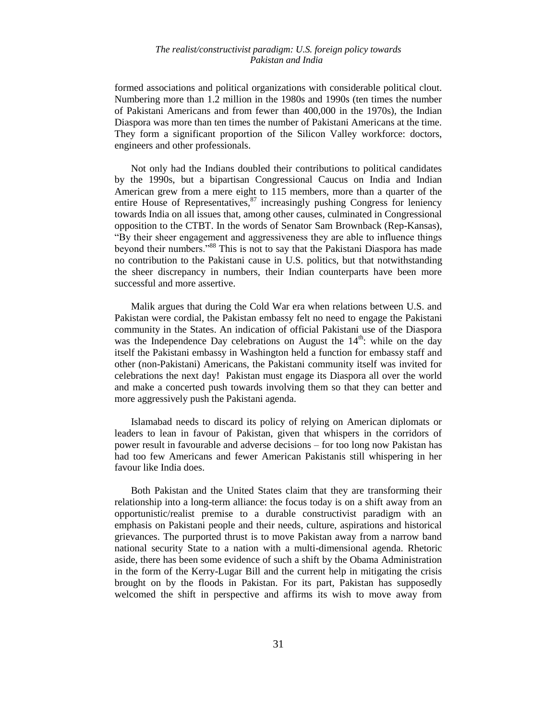formed associations and political organizations with considerable political clout. Numbering more than 1.2 million in the 1980s and 1990s (ten times the number of Pakistani Americans and from fewer than 400,000 in the 1970s), the Indian Diaspora was more than ten times the number of Pakistani Americans at the time. They form a significant proportion of the Silicon Valley workforce: doctors, engineers and other professionals.

Not only had the Indians doubled their contributions to political candidates by the 1990s, but a bipartisan Congressional Caucus on India and Indian American grew from a mere eight to 115 members, more than a quarter of the entire House of Representatives,  $\frac{87}{100}$  increasingly pushing Congress for leniency towards India on all issues that, among other causes, culminated in Congressional opposition to the CTBT. In the words of Senator Sam Brownback (Rep-Kansas), "By their sheer engagement and aggressiveness they are able to influence things beyond their numbers."<sup>88</sup> This is not to say that the Pakistani Diaspora has made no contribution to the Pakistani cause in U.S. politics, but that notwithstanding the sheer discrepancy in numbers, their Indian counterparts have been more successful and more assertive.

Malik argues that during the Cold War era when relations between U.S. and Pakistan were cordial, the Pakistan embassy felt no need to engage the Pakistani community in the States. An indication of official Pakistani use of the Diaspora was the Independence Day celebrations on August the  $14<sup>th</sup>$ : while on the day itself the Pakistani embassy in Washington held a function for embassy staff and other (non-Pakistani) Americans, the Pakistani community itself was invited for celebrations the next day! Pakistan must engage its Diaspora all over the world and make a concerted push towards involving them so that they can better and more aggressively push the Pakistani agenda.

Islamabad needs to discard its policy of relying on American diplomats or leaders to lean in favour of Pakistan, given that whispers in the corridors of power result in favourable and adverse decisions – for too long now Pakistan has had too few Americans and fewer American Pakistanis still whispering in her favour like India does.

Both Pakistan and the United States claim that they are transforming their relationship into a long-term alliance: the focus today is on a shift away from an opportunistic/realist premise to a durable constructivist paradigm with an emphasis on Pakistani people and their needs, culture, aspirations and historical grievances. The purported thrust is to move Pakistan away from a narrow band national security State to a nation with a multi-dimensional agenda. Rhetoric aside, there has been some evidence of such a shift by the Obama Administration in the form of the Kerry-Lugar Bill and the current help in mitigating the crisis brought on by the floods in Pakistan. For its part, Pakistan has supposedly welcomed the shift in perspective and affirms its wish to move away from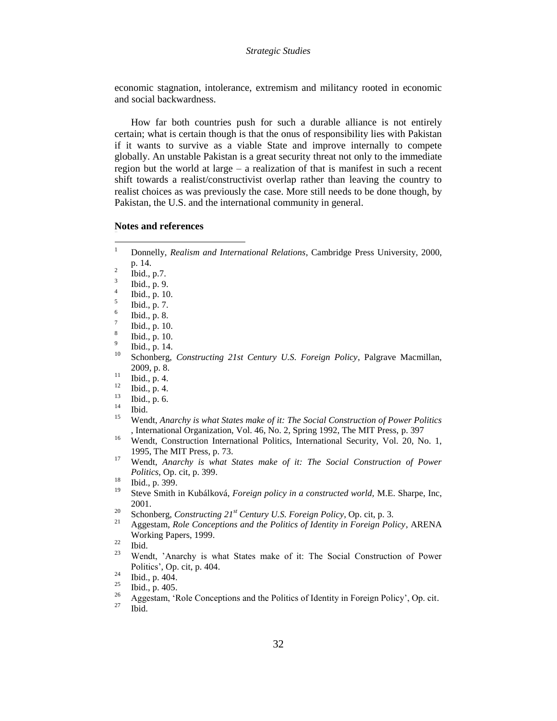economic stagnation, intolerance, extremism and militancy rooted in economic and social backwardness.

How far both countries push for such a durable alliance is not entirely certain; what is certain though is that the onus of responsibility lies with Pakistan if it wants to survive as a viable State and improve internally to compete globally. An unstable Pakistan is a great security threat not only to the immediate region but the world at large – a realization of that is manifest in such a recent shift towards a realist/constructivist overlap rather than leaving the country to realist choices as was previously the case. More still needs to be done though, by Pakistan, the U.S. and the international community in general.

#### **Notes and references**

- 2 Ibid., p.7.
- 3 Ibid., p. 9.
- 4 Ibid., p. 10.
- 5 Ibid., p. 7.
- 6 Ibid., p. 8.
- 7 Ibid., p. 10.
- 8 Ibid., p. 10.
- 9 Ibid., p. 14.
- <sup>10</sup> Schonberg, *Constructing 21st Century U.S. Foreign Policy*, Palgrave Macmillan, 2009, p. 8.
- <sup>11</sup> Ibid., p. 4.
- $\frac{12}{13}$  Ibid., p. 4.
- $\frac{13}{14}$  Ibid., p. 6.
- $\frac{14}{15}$  Ibid.
- <sup>15</sup> Wendt, *Anarchy is what States make of it: The Social Construction of Power Politics* , International Organization, Vol. 46, No. 2, Spring 1992, The MIT Press, p. 397
- <sup>16</sup> Wendt, Construction International Politics, International Security, Vol. 20, No. 1, 1995, The MIT Press, p. 73.
- <sup>17</sup> Wendt, *Anarchy is what States make of it: The Social Construction of Power Politics*, Op. cit, p. 399.

- <sup>19</sup> Steve Smith in Kubálková, *Foreign policy in a constructed world,* M.E. Sharpe, Inc, 2001.
- <sup>20</sup> Schonberg, *Constructing 21st Century U.S. Foreign Policy*, Op. cit, p. 3.
- <sup>21</sup> Aggestam, *Role Conceptions and the Politics of Identity in Foreign Policy*, ARENA Working Papers, 1999.

Wendt, 'Anarchy is what States make of it: The Social Construction of Power Politics", Op. cit, p. 404.

 $\mathbf{1}$ <sup>1</sup> Donnelly, *Realism and International Relations*, Cambridge Press University, 2000, p. 14.

 $\frac{18}{19}$  Ibid., p. 399.

 $rac{22}{23}$  Ibid.

<sup>&</sup>lt;sup>24</sup> Ibid., p.  $\overline{404}$ .<br><sup>25</sup> Ibid., p.  $\overline{405}$ .

 $\frac{25}{26}$  Ibid., p. 405.

<sup>&</sup>lt;sup>26</sup> Aggestam, 'Role Conceptions and the Politics of Identity in Foreign Policy', Op. cit.

Ibid.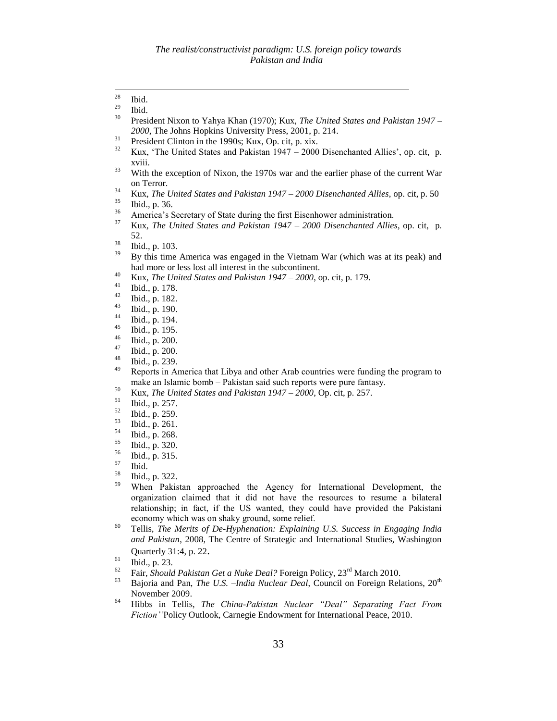- $\frac{31}{32}$  President Clinton in the 1990s; Kux, Op. cit, p. xix.
- Kux, 'The United States and Pakistan  $1947 2000$  Disenchanted Allies', op. cit, p. xviii.
- <sup>33</sup> With the exception of Nixon, the 1970s war and the earlier phase of the current War on Terror.
- <sup>34</sup> Kux, *The United States and Pakistan 1947 – 2000 Disenchanted Allies*, op. cit, p. 50
- $\frac{35}{36}$  Ibid., p. 36.
- <sup>36</sup> America's Secretary of State during the first Eisenhower administration.
- <sup>37</sup> Kux, *The United States and Pakistan 1947 – 2000 Disenchanted Allies*, op. cit, p. 52.
- $\frac{38}{39}$  Ibid., p. 103.
- <sup>39</sup> By this time America was engaged in the Vietnam War (which was at its peak) and had more or less lost all interest in the subcontinent.
- <sup>40</sup> Kux, *The United States and Pakistan 1947 – 2000*, op. cit, p. 179.
- $\frac{41}{42}$  Ibid., p. 178.
- $\frac{42}{43}$  Ibid., p. 182.
- $\frac{43}{44}$  Ibid., p. 190.
- $\frac{44}{45}$  Ibid., p. 194.
- $^{45}$  Ibid., p. 195.
- $^{46}_{47}$  Ibid., p. 200.
- $\frac{47}{48}$  Ibid., p. 200.
- $^{48}_{49}$  Ibid., p. 239.
- <sup>49</sup> Reports in America that Libya and other Arab countries were funding the program to make an Islamic bomb – Pakistan said such reports were pure fantasy.
- <sup>50</sup> Kux*, The United States and Pakistan 1947 – 2000*, Op. cit, p. 257.
- $\frac{51}{52}$  Ibid., p. 257.
- $\frac{52}{53}$  Ibid., p. 259.
- $\begin{array}{cc} 53 & \text{Ibid., p. 261.} \\ 54 & \text{Ibid. p. 268.} \end{array}$
- $^{54}$  Ibid., p. 268.
- $\begin{array}{c} 55 \\ 56 \end{array}$  Ibid., p. 320.
- $\frac{56}{57}$  Ibid., p. 315.
- $rac{57}{58}$  Ibid.
- $^{58}$  Ibid., p. 322.
- When Pakistan approached the Agency for International Development, the organization claimed that it did not have the resources to resume a bilateral relationship; in fact, if the US wanted, they could have provided the Pakistani economy which was on shaky ground, some relief.
- <sup>60</sup> Tellis, *The Merits of De-Hyphenation: Explaining U.S. Success in Engaging India and Pakistan*, 2008, The Centre of Strategic and International Studies, Washington Quarterly 31:4, p. 22.

- <sup>62</sup> Fair, *Should Pakistan Get a Nuke Deal?* Foreign Policy, 23rd March 2010.
- Bajoria and Pan, *The U.S. –India Nuclear Deal*, Council on Foreign Relations, 20<sup>th</sup> November 2009.
- <sup>64</sup> Hibbs in Tellis, *The China-Pakistan Nuclear "Deal" Separating Fact From Fiction""*Policy Outlook, Carnegie Endowment for International Peace, 2010.

<sup>28</sup>  $rac{28}{29}$  Ibid.

 $rac{29}{30}$  Ibid.

<sup>30</sup> President Nixon to Yahya Khan (1970); Kux, *The United States and Pakistan 1947 – 2000*, The Johns Hopkins University Press, 2001, p. 214.

 $\begin{bmatrix} 61 \\ 62 \end{bmatrix}$  Ibid., p. 23.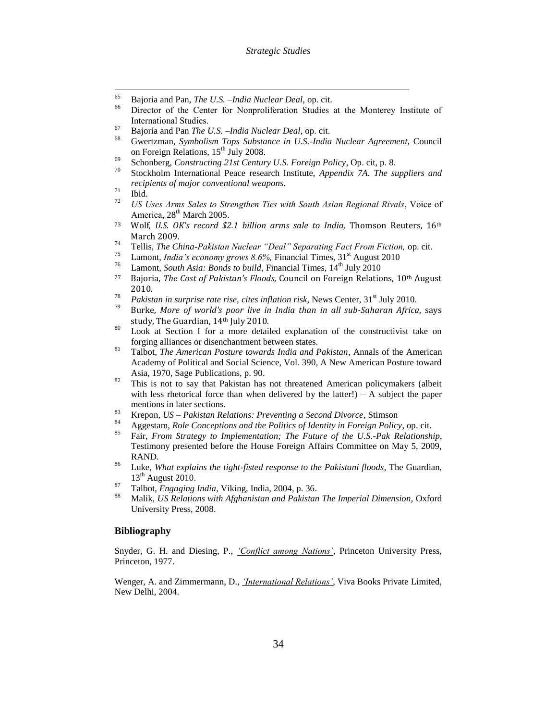- 65 <sup>65</sup> Bajoria and Pan, *The U.S. –India Nuclear Deal,* op. cit.
- Director of the Center for Nonproliferation Studies at the Monterey Institute of International Studies.
- <sup>67</sup> Bajoria and Pan *The U.S. –India Nuclear Deal*, op. cit.
- <sup>68</sup> Gwertzman, *Symbolism Tops Substance in U.S.-India Nuclear Agreement,* Council on Foreign Relations, 15<sup>th</sup> July 2008.
- <sup>69</sup> Schonberg, *Constructing 21st Century U.S. Foreign Policy*, Op. cit, p. 8.
- Stockholm International Peace research Institute, *Appendix 7A. The suppliers and recipients of major conventional weapons.*
- $rac{71}{72}$  Ibid.
- <sup>72</sup> *US Uses Arms Sales to Strengthen Ties with South Asian Regional Rivals*, Voice of America, 28<sup>th</sup> March 2005.
- <sup>73</sup> Wolf, *U.S. OK's record \$2.1 billion arms sale to India,* Thomson Reuters, 16th March 2009.
- <sup>74</sup> Tellis, *The China-Pakistan Nuclear "Deal" Separating Fact From Fiction,* op. cit.
- <sup>75</sup> Lamont, *India's economy grows 8.6%*, Financial Times,  $31^{\text{st}}$  August 2010<br><sup>76</sup> Lamont, *South Asia*, *Pands to build*, Financial Times,  $14^{\text{th}}$  July 2010
- Lamont, *South Asia: Bonds to build*, Financial Times, 14<sup>th</sup> July 2010
- <sup>77</sup> Bajoria, *The Cost of Pakistan's Floods*, Council on Foreign Relations, 10th August 2010.
- <sup>78</sup> *Pakistan in surprise rate rise, cites inflation risk*, News Center,  $31<sup>st</sup>$  July 2010.
- <sup>79</sup> Burke, *More of world's poor live in India than in all sub-Saharan Africa*, says study, The Guardian, 14th July 2010.
- <sup>80</sup> Look at Section I for a more detailed explanation of the constructivist take on forging alliances or disenchantment between states.
- <sup>81</sup> Talbot*, The American Posture towards India and Pakistan*, Annals of the American Academy of Political and Social Science, Vol. 390, A New American Posture toward Asia, 1970, Sage Publications, p. 90.
- $82$  This is not to say that Pakistan has not threatened American policymakers (albeit with less rhetorical force than when delivered by the latter!) – A subject the paper mentions in later sections.
- <sup>83</sup> Krepon*, US – Pakistan Relations: Preventing a Second Divorce*, Stimson
- <sup>84</sup> Aggestam, *Role Conceptions and the Politics of Identity in Foreign Policy*, op. cit.
- <sup>85</sup> Fair, *From Strategy to Implementation; The Future of the U.S.-Pak Relationship*, Testimony presented before the House Foreign Affairs Committee on May 5, 2009, RAND.
- <sup>86</sup> Luke, *What explains the tight-fisted response to the Pakistani floods*, The Guardian,  $13<sup>th</sup>$  August 2010.
- <sup>87</sup> Talbot, *Engaging India*, Viking, India, 2004, p. 36.
- <sup>88</sup> Malik, *US Relations with Afghanistan and Pakistan The Imperial Dimension,* Oxford University Press, 2008.

# **Bibliography**

Snyder, G. H. and Diesing, P., *"Conflict among Nations"*, Princeton University Press, Princeton, 1977.

Wenger, A. and Zimmermann, D., *"International Relations"*, Viva Books Private Limited, New Delhi, 2004.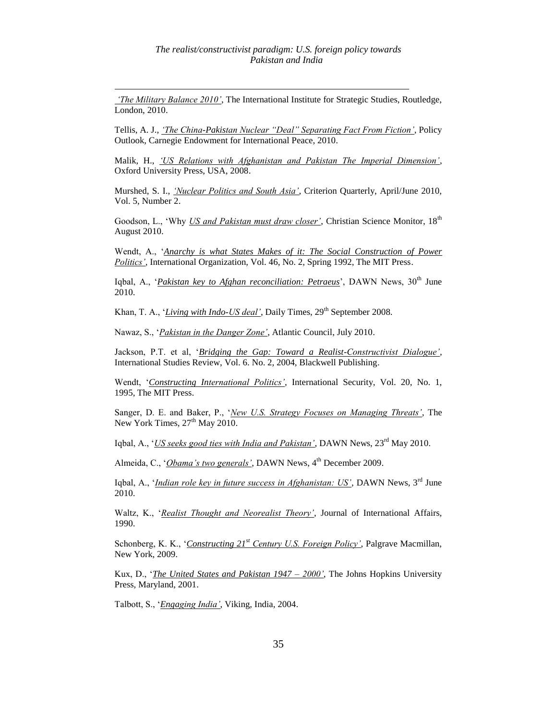*"The Military Balance 2010"*, The International Institute for Strategic Studies, Routledge, London, 2010.

 $\overline{a}$ 

Tellis, A. J., *"The China-Pakistan Nuclear "Deal" Separating Fact From Fiction"*, Policy Outlook, Carnegie Endowment for International Peace, 2010.

Malik, H., *"US Relations with Afghanistan and Pakistan The Imperial Dimension"*, Oxford University Press, USA, 2008.

Murshed, S. I., *"Nuclear Politics and South Asia"*, Criterion Quarterly, April/June 2010, Vol. 5, Number 2.

Goodson, L., 'Why *US and Pakistan must draw closer'*, Christian Science Monitor, 18<sup>th</sup> August 2010.

Wendt, A., "*Anarchy is what States Makes of it: The Social Construction of Power Politics"*, International Organization, Vol. 46, No. 2, Spring 1992, The MIT Press.

Iqbal, A., *'Pakistan key to Afghan reconciliation: Petraeus'*, DAWN News, 30<sup>th</sup> June 2010.

Khan, T. A., '*Living with Indo-US deal*', Daily Times, 29<sup>th</sup> September 2008.

Nawaz, S., "*Pakistan in the Danger Zone"*, Atlantic Council, July 2010.

Jackson, P.T. et al, "*Bridging the Gap: Toward a Realist-Constructivist Dialogue"*, International Studies Review, Vol. 6. No. 2, 2004, Blackwell Publishing.

Wendt, "*Constructing International Politics"*, International Security, Vol. 20, No. 1, 1995, The MIT Press.

Sanger, D. E. and Baker, P., "*New U.S. Strategy Focuses on Managing Threats"*, The New York Times,  $27<sup>th</sup>$  May 2010.

Igbal, A., '*US seeks good ties with India and Pakistan'*, DAWN News,  $23^{\text{rd}}$  May 2010.

Almeida, C., '*Obama's two generals'*, DAWN News, 4<sup>th</sup> December 2009.

Iqbal, A., "*Indian role key in future success in Afghanistan: US"*, DAWN News, 3rd June 2010.

Waltz, K., "*Realist Thought and Neorealist Theory"*, Journal of International Affairs, 1990.

Schonberg, K. K., "*Constructing 21st Century U.S. Foreign Policy"*, Palgrave Macmillan, New York, 2009.

Kux, D., "*The United States and Pakistan 1947 – 2000"*, The Johns Hopkins University Press, Maryland, 2001.

Talbott, S., "*Engaging India"*, Viking, India, 2004.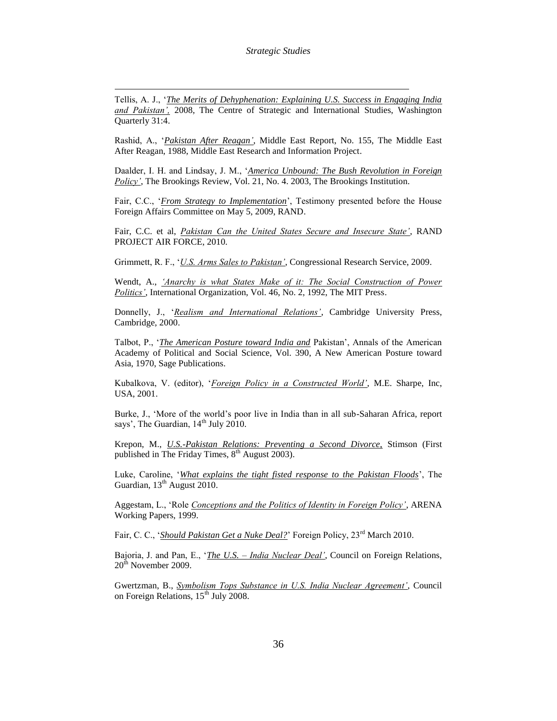Tellis, A. J., "*The Merits of Dehyphenation: Explaining U.S. Success in Engaging India and Pakistan",* 2008, The Centre of Strategic and International Studies, Washington Quarterly 31:4.

 $\overline{a}$ 

Rashid, A., "*Pakistan After Reagan"*, Middle East Report, No. 155, The Middle East After Reagan, 1988, Middle East Research and Information Project.

Daalder, I. H. and Lindsay, J. M., "*America Unbound: The Bush Revolution in Foreign Policy"*, The Brookings Review, Vol. 21, No. 4. 2003, The Brookings Institution.

Fair, C.C., '*From Strategy to Implementation*', Testimony presented before the House Foreign Affairs Committee on May 5, 2009, RAND.

Fair, C.C. et al, *Pakistan Can the United States Secure and Insecure State"*, RAND PROJECT AIR FORCE, 2010.

Grimmett, R. F., "*U.S. Arms Sales to Pakistan"*, Congressional Research Service, 2009.

Wendt, A., *"Anarchy is what States Make of it: The Social Construction of Power Politics"*, International Organization, Vol. 46, No. 2, 1992, The MIT Press.

Donnelly, J., "*Realism and International Relations"*, Cambridge University Press, Cambridge, 2000.

Talbot, P., "*The American Posture toward India and* Pakistan", Annals of the American Academy of Political and Social Science, Vol. 390, A New American Posture toward Asia, 1970, Sage Publications.

Kubalkova, V. (editor), "*Foreign Policy in a Constructed World"*, M.E. Sharpe, Inc, USA, 2001.

Burke, J., "More of the world"s poor live in India than in all sub-Saharan Africa, report says', The Guardian,  $14<sup>th</sup>$  July 2010.

Krepon, M., *U.S.-Pakistan Relations: Preventing a Second Divorce,* Stimson (First published in The Friday Times,  $8<sup>th</sup>$  August 2003).

Luke, Caroline, "*What explains the tight fisted response to the Pakistan Floods*", The Guardian, 13<sup>th</sup> August 2010.

Aggestam, L., "Role *Conceptions and the Politics of Identity in Foreign Policy"*, ARENA Working Papers, 1999.

Fair, C. C., '*Should Pakistan Get a Nuke Deal?*' Foreign Policy, 23<sup>rd</sup> March 2010.

Bajoria, J. and Pan, E., "*The U.S. – India Nuclear Deal"*, Council on Foreign Relations,  $20<sup>th</sup>$  November 2009.

Gwertzman, B., *Symbolism Tops Substance in U.S. India Nuclear Agreement"*, Council on Foreign Relations,  $15^{th}$  July 2008.